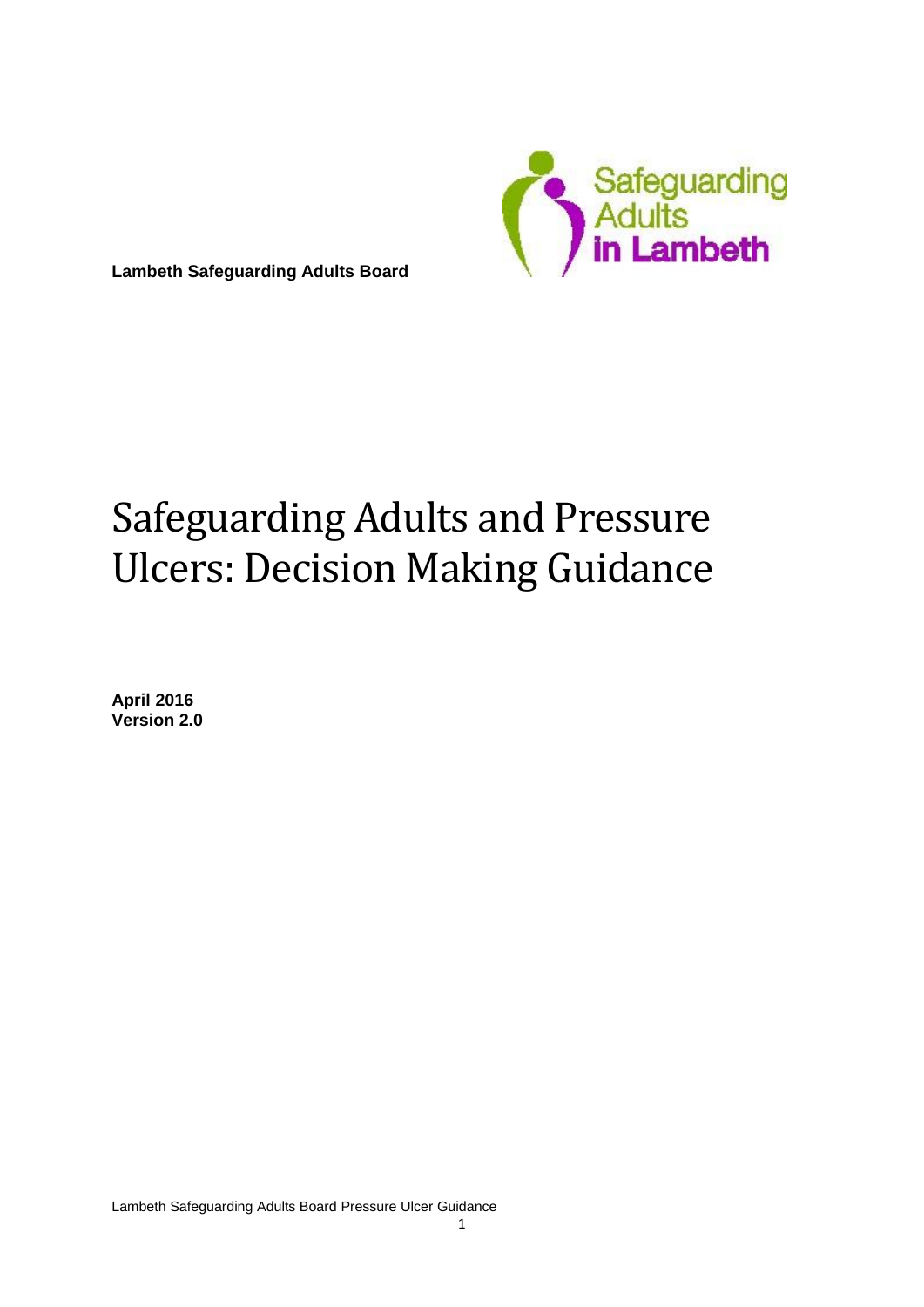

**Lambeth Safeguarding Adults Board**

# Safeguarding Adults and Pressure Ulcers: Decision Making Guidance

**April 2016 Version 2.0**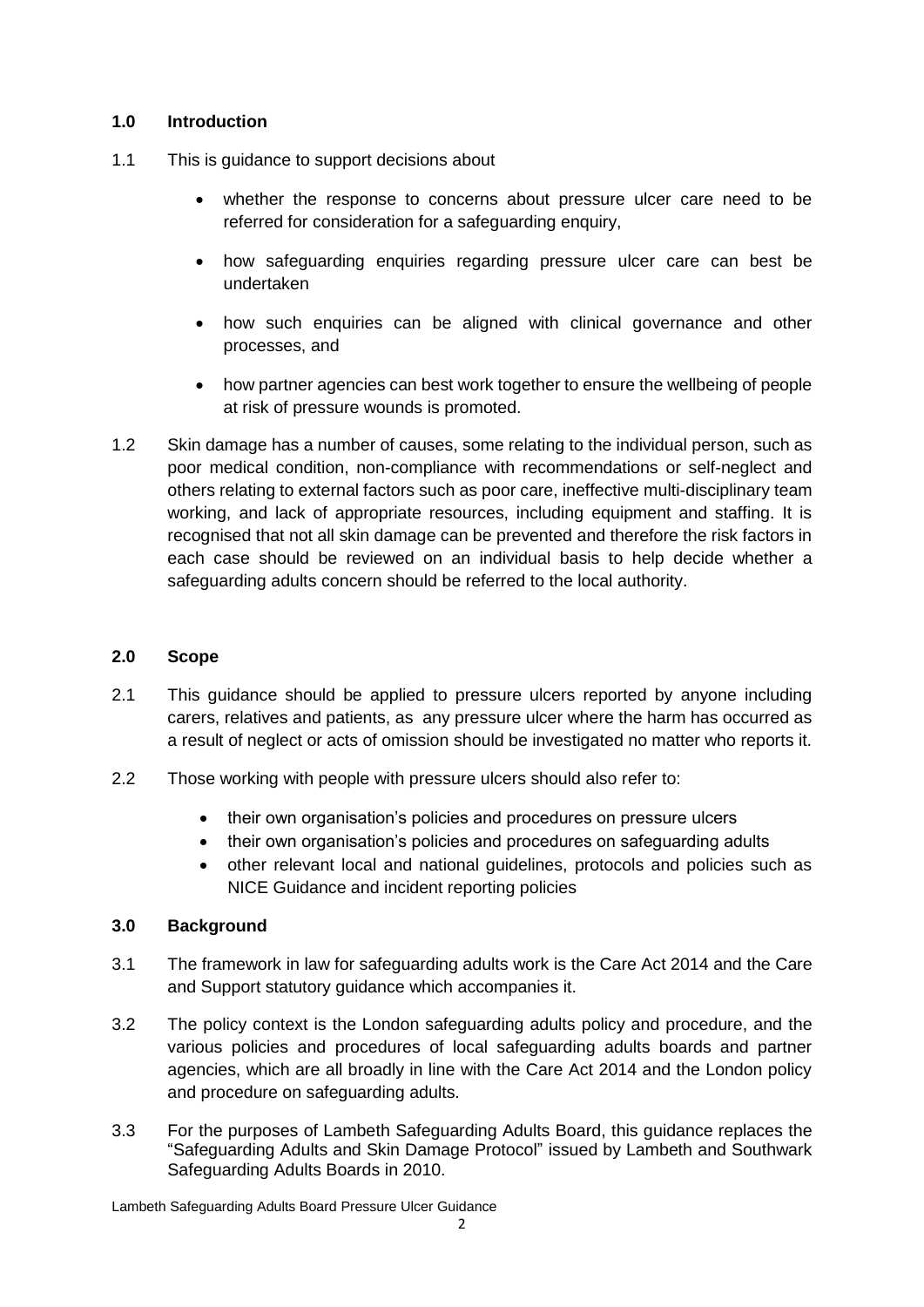#### **1.0 Introduction**

- 1.1 This is guidance to support decisions about
	- whether the response to concerns about pressure ulcer care need to be referred for consideration for a safeguarding enquiry,
	- how safeguarding enquiries regarding pressure ulcer care can best be undertaken
	- how such enquiries can be aligned with clinical governance and other processes, and
	- how partner agencies can best work together to ensure the wellbeing of people at risk of pressure wounds is promoted.
- 1.2 Skin damage has a number of causes, some relating to the individual person, such as poor medical condition, non-compliance with recommendations or self-neglect and others relating to external factors such as poor care, ineffective multi-disciplinary team working, and lack of appropriate resources, including equipment and staffing. It is recognised that not all skin damage can be prevented and therefore the risk factors in each case should be reviewed on an individual basis to help decide whether a safeguarding adults concern should be referred to the local authority.

#### **2.0 Scope**

- 2.1 This guidance should be applied to pressure ulcers reported by anyone including carers, relatives and patients, as any pressure ulcer where the harm has occurred as a result of neglect or acts of omission should be investigated no matter who reports it.
- 2.2 Those working with people with pressure ulcers should also refer to:
	- their own organisation's policies and procedures on pressure ulcers
	- their own organisation's policies and procedures on safeguarding adults
	- other relevant local and national guidelines, protocols and policies such as NICE Guidance and incident reporting policies

#### **3.0 Background**

- 3.1 The framework in law for safeguarding adults work is the Care Act 2014 and the Care and Support statutory guidance which accompanies it.
- 3.2 The policy context is the London safeguarding adults policy and procedure, and the various policies and procedures of local safeguarding adults boards and partner agencies, which are all broadly in line with the Care Act 2014 and the London policy and procedure on safeguarding adults.
- 3.3 For the purposes of Lambeth Safeguarding Adults Board, this guidance replaces the "Safeguarding Adults and Skin Damage Protocol" issued by Lambeth and Southwark Safeguarding Adults Boards in 2010.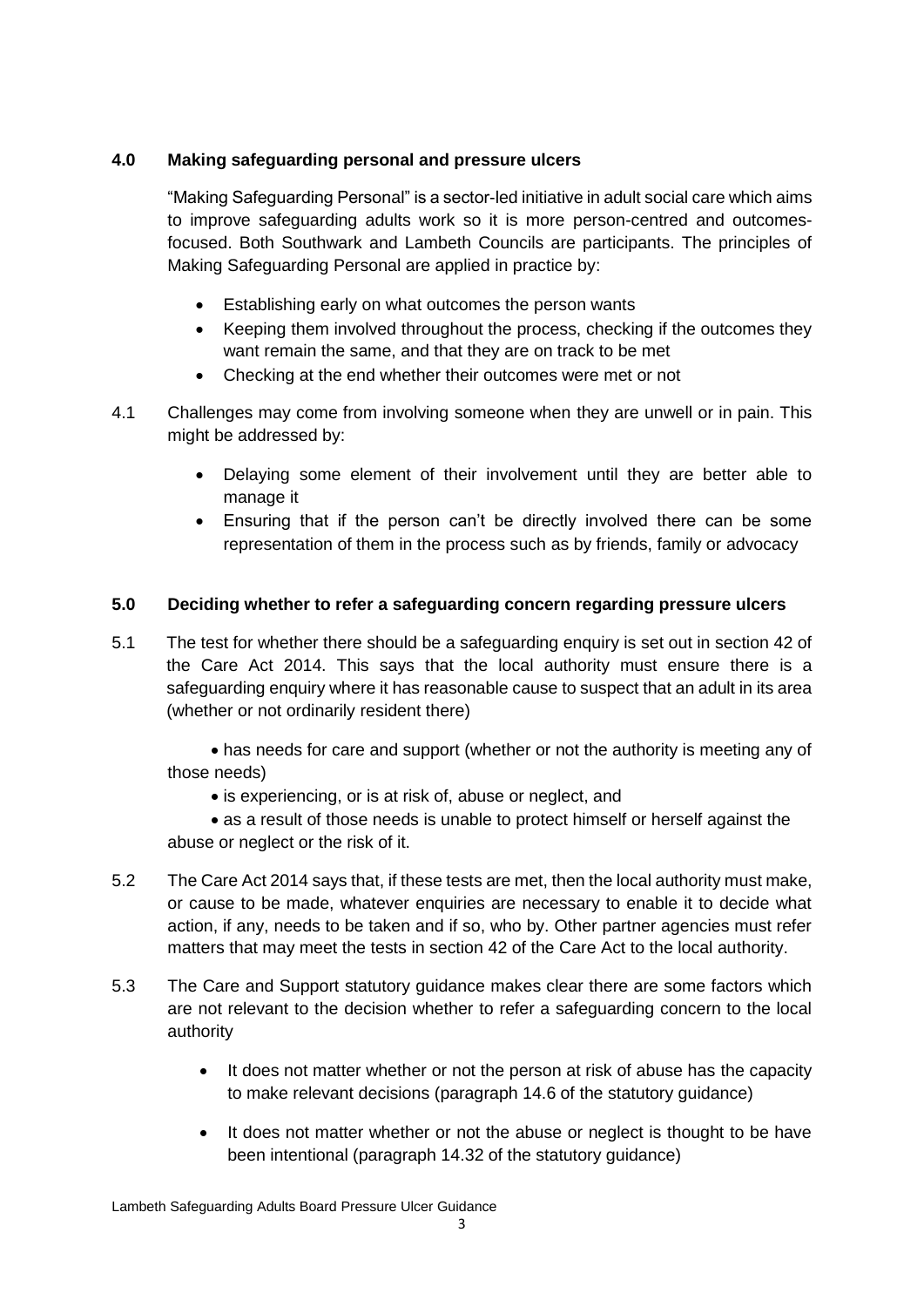## **4.0 Making safeguarding personal and pressure ulcers**

"Making Safeguarding Personal" is a sector-led initiative in adult social care which aims to improve safeguarding adults work so it is more person-centred and outcomesfocused. Both Southwark and Lambeth Councils are participants. The principles of Making Safeguarding Personal are applied in practice by:

- Establishing early on what outcomes the person wants
- Keeping them involved throughout the process, checking if the outcomes they want remain the same, and that they are on track to be met
- Checking at the end whether their outcomes were met or not
- 4.1 Challenges may come from involving someone when they are unwell or in pain. This might be addressed by:
	- Delaying some element of their involvement until they are better able to manage it
	- Ensuring that if the person can't be directly involved there can be some representation of them in the process such as by friends, family or advocacy

## **5.0 Deciding whether to refer a safeguarding concern regarding pressure ulcers**

5.1 The test for whether there should be a safeguarding enquiry is set out in section 42 of the Care Act 2014. This says that the local authority must ensure there is a safeguarding enquiry where it has reasonable cause to suspect that an adult in its area (whether or not ordinarily resident there)

 has needs for care and support (whether or not the authority is meeting any of those needs)

• is experiencing, or is at risk of, abuse or neglect, and

 as a result of those needs is unable to protect himself or herself against the abuse or neglect or the risk of it.

- 5.2 The Care Act 2014 says that, if these tests are met, then the local authority must make, or cause to be made, whatever enquiries are necessary to enable it to decide what action, if any, needs to be taken and if so, who by. Other partner agencies must refer matters that may meet the tests in section 42 of the Care Act to the local authority.
- 5.3 The Care and Support statutory guidance makes clear there are some factors which are not relevant to the decision whether to refer a safeguarding concern to the local authority
	- It does not matter whether or not the person at risk of abuse has the capacity to make relevant decisions (paragraph 14.6 of the statutory guidance)
	- It does not matter whether or not the abuse or neglect is thought to be have been intentional (paragraph 14.32 of the statutory guidance)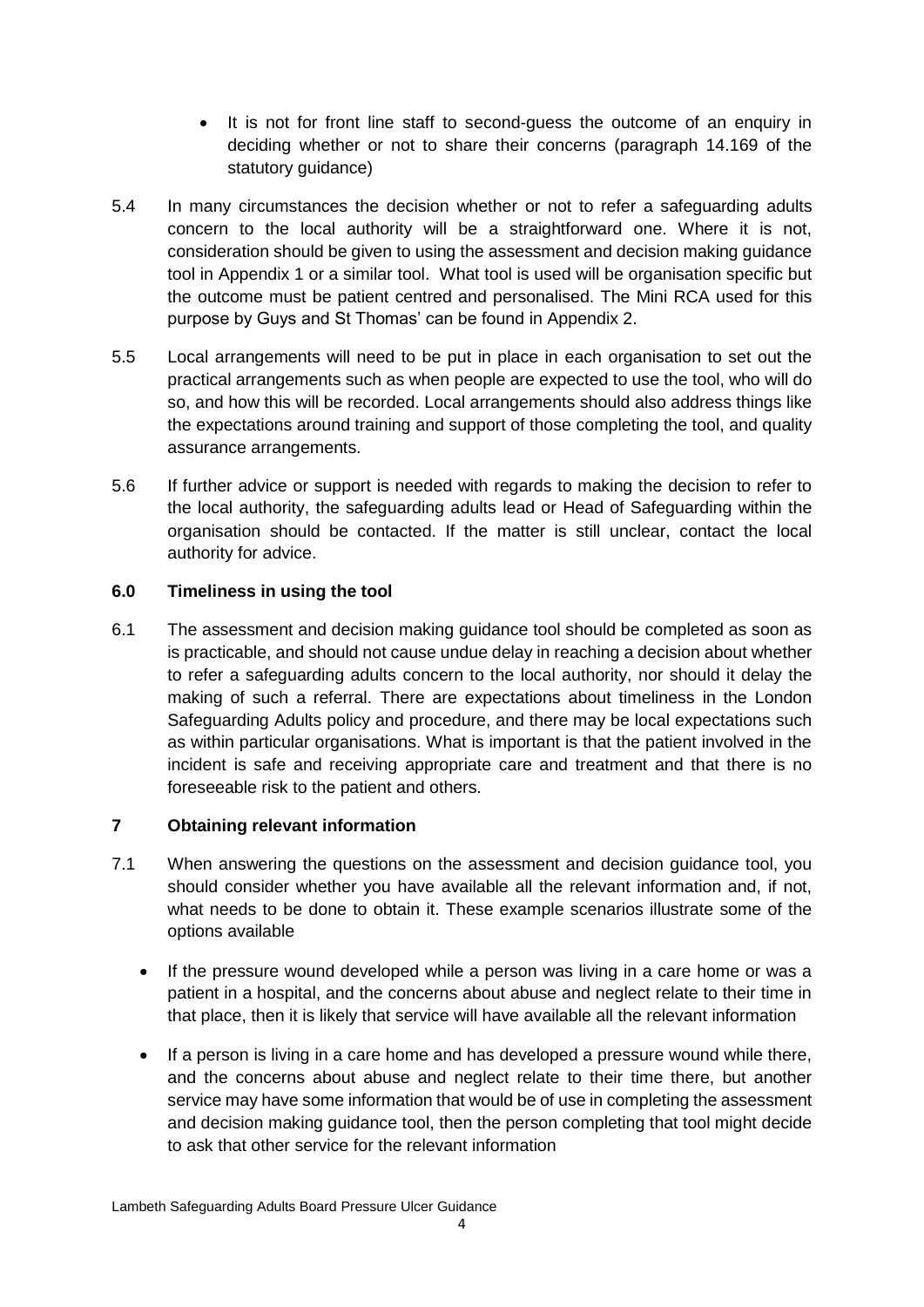- It is not for front line staff to second-guess the outcome of an enquiry in deciding whether or not to share their concerns (paragraph 14.169 of the statutory guidance)
- 5.4 In many circumstances the decision whether or not to refer a safeguarding adults concern to the local authority will be a straightforward one. Where it is not, consideration should be given to using the assessment and decision making guidance tool in Appendix 1 or a similar tool. What tool is used will be organisation specific but the outcome must be patient centred and personalised. The Mini RCA used for this purpose by Guys and St Thomas' can be found in Appendix 2.
- 5.5 Local arrangements will need to be put in place in each organisation to set out the practical arrangements such as when people are expected to use the tool, who will do so, and how this will be recorded. Local arrangements should also address things like the expectations around training and support of those completing the tool, and quality assurance arrangements.
- 5.6 If further advice or support is needed with regards to making the decision to refer to the local authority, the safeguarding adults lead or Head of Safeguarding within the organisation should be contacted. If the matter is still unclear, contact the local authority for advice.

## **6.0 Timeliness in using the tool**

6.1 The assessment and decision making guidance tool should be completed as soon as is practicable, and should not cause undue delay in reaching a decision about whether to refer a safeguarding adults concern to the local authority, nor should it delay the making of such a referral. There are expectations about timeliness in the London Safeguarding Adults policy and procedure, and there may be local expectations such as within particular organisations. What is important is that the patient involved in the incident is safe and receiving appropriate care and treatment and that there is no foreseeable risk to the patient and others.

#### **7 Obtaining relevant information**

- 7.1 When answering the questions on the assessment and decision guidance tool, you should consider whether you have available all the relevant information and, if not, what needs to be done to obtain it. These example scenarios illustrate some of the options available
	- If the pressure wound developed while a person was living in a care home or was a patient in a hospital, and the concerns about abuse and neglect relate to their time in that place, then it is likely that service will have available all the relevant information
	- If a person is living in a care home and has developed a pressure wound while there, and the concerns about abuse and neglect relate to their time there, but another service may have some information that would be of use in completing the assessment and decision making guidance tool, then the person completing that tool might decide to ask that other service for the relevant information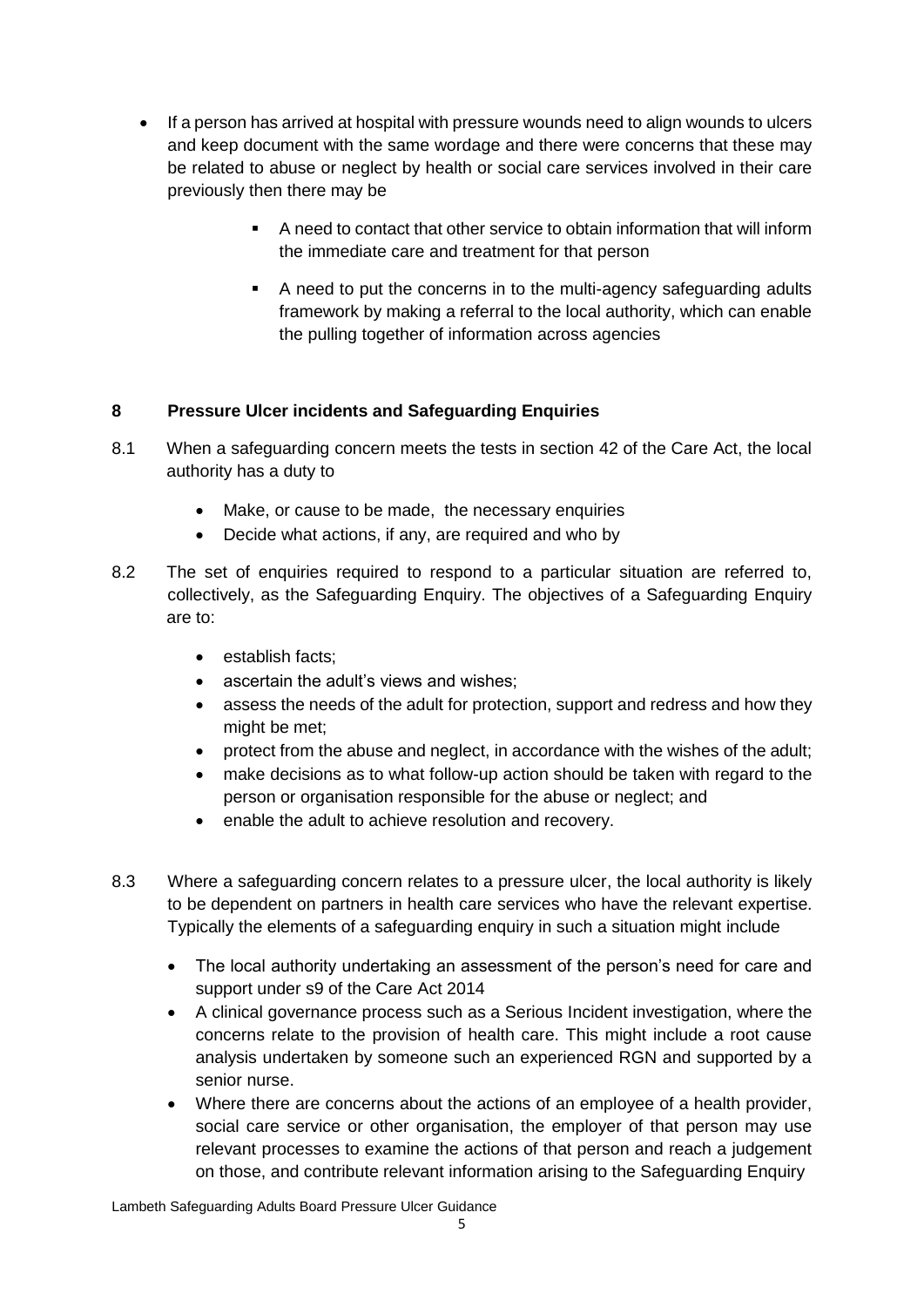- If a person has arrived at hospital with pressure wounds need to align wounds to ulcers and keep document with the same wordage and there were concerns that these may be related to abuse or neglect by health or social care services involved in their care previously then there may be
	- A need to contact that other service to obtain information that will inform the immediate care and treatment for that person
	- A need to put the concerns in to the multi-agency safeguarding adults framework by making a referral to the local authority, which can enable the pulling together of information across agencies

## **8 Pressure Ulcer incidents and Safeguarding Enquiries**

- 8.1 When a safeguarding concern meets the tests in section 42 of the Care Act, the local authority has a duty to
	- Make, or cause to be made, the necessary enquiries
	- Decide what actions, if any, are required and who by
- 8.2 The set of enquiries required to respond to a particular situation are referred to, collectively, as the Safeguarding Enquiry. The objectives of a Safeguarding Enquiry are to:
	- establish facts;
	- ascertain the adult's views and wishes;
	- assess the needs of the adult for protection, support and redress and how they might be met;
	- protect from the abuse and neglect, in accordance with the wishes of the adult;
	- make decisions as to what follow-up action should be taken with regard to the person or organisation responsible for the abuse or neglect; and
	- enable the adult to achieve resolution and recovery.
- 8.3 Where a safeguarding concern relates to a pressure ulcer, the local authority is likely to be dependent on partners in health care services who have the relevant expertise. Typically the elements of a safeguarding enquiry in such a situation might include
	- The local authority undertaking an assessment of the person's need for care and support under s9 of the Care Act 2014
	- A clinical governance process such as a Serious Incident investigation, where the concerns relate to the provision of health care. This might include a root cause analysis undertaken by someone such an experienced RGN and supported by a senior nurse.
	- Where there are concerns about the actions of an employee of a health provider, social care service or other organisation, the employer of that person may use relevant processes to examine the actions of that person and reach a judgement on those, and contribute relevant information arising to the Safeguarding Enquiry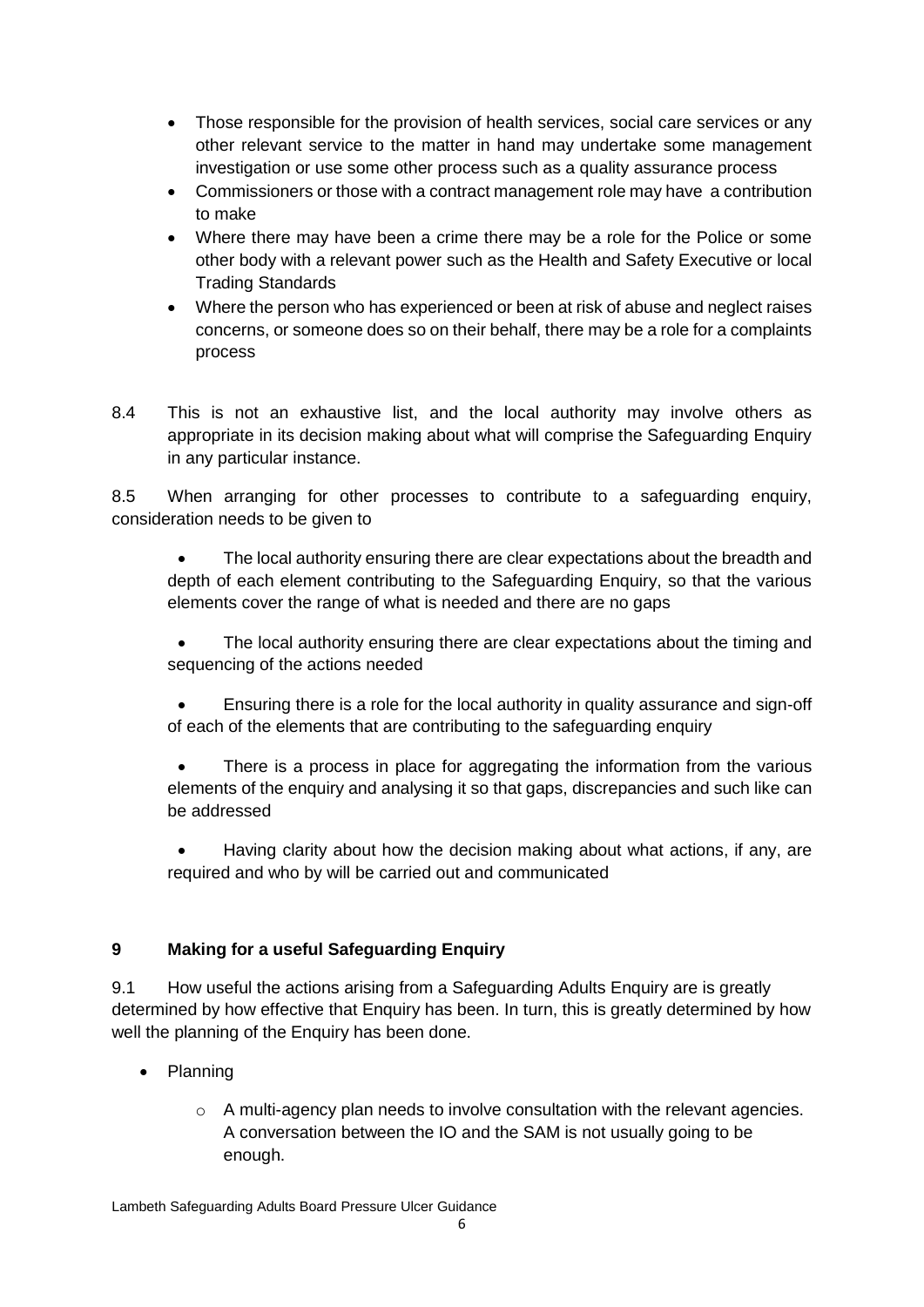- Those responsible for the provision of health services, social care services or any other relevant service to the matter in hand may undertake some management investigation or use some other process such as a quality assurance process
- Commissioners or those with a contract management role may have a contribution to make
- Where there may have been a crime there may be a role for the Police or some other body with a relevant power such as the Health and Safety Executive or local Trading Standards
- Where the person who has experienced or been at risk of abuse and neglect raises concerns, or someone does so on their behalf, there may be a role for a complaints process
- 8.4 This is not an exhaustive list, and the local authority may involve others as appropriate in its decision making about what will comprise the Safeguarding Enquiry in any particular instance.

8.5 When arranging for other processes to contribute to a safeguarding enquiry, consideration needs to be given to

 The local authority ensuring there are clear expectations about the breadth and depth of each element contributing to the Safeguarding Enquiry, so that the various elements cover the range of what is needed and there are no gaps

 The local authority ensuring there are clear expectations about the timing and sequencing of the actions needed

 Ensuring there is a role for the local authority in quality assurance and sign-off of each of the elements that are contributing to the safeguarding enquiry

 There is a process in place for aggregating the information from the various elements of the enquiry and analysing it so that gaps, discrepancies and such like can be addressed

 Having clarity about how the decision making about what actions, if any, are required and who by will be carried out and communicated

# **9 Making for a useful Safeguarding Enquiry**

9.1 How useful the actions arising from a Safeguarding Adults Enquiry are is greatly determined by how effective that Enquiry has been. In turn, this is greatly determined by how well the planning of the Enquiry has been done.

- Planning
	- o A multi-agency plan needs to involve consultation with the relevant agencies. A conversation between the IO and the SAM is not usually going to be enough.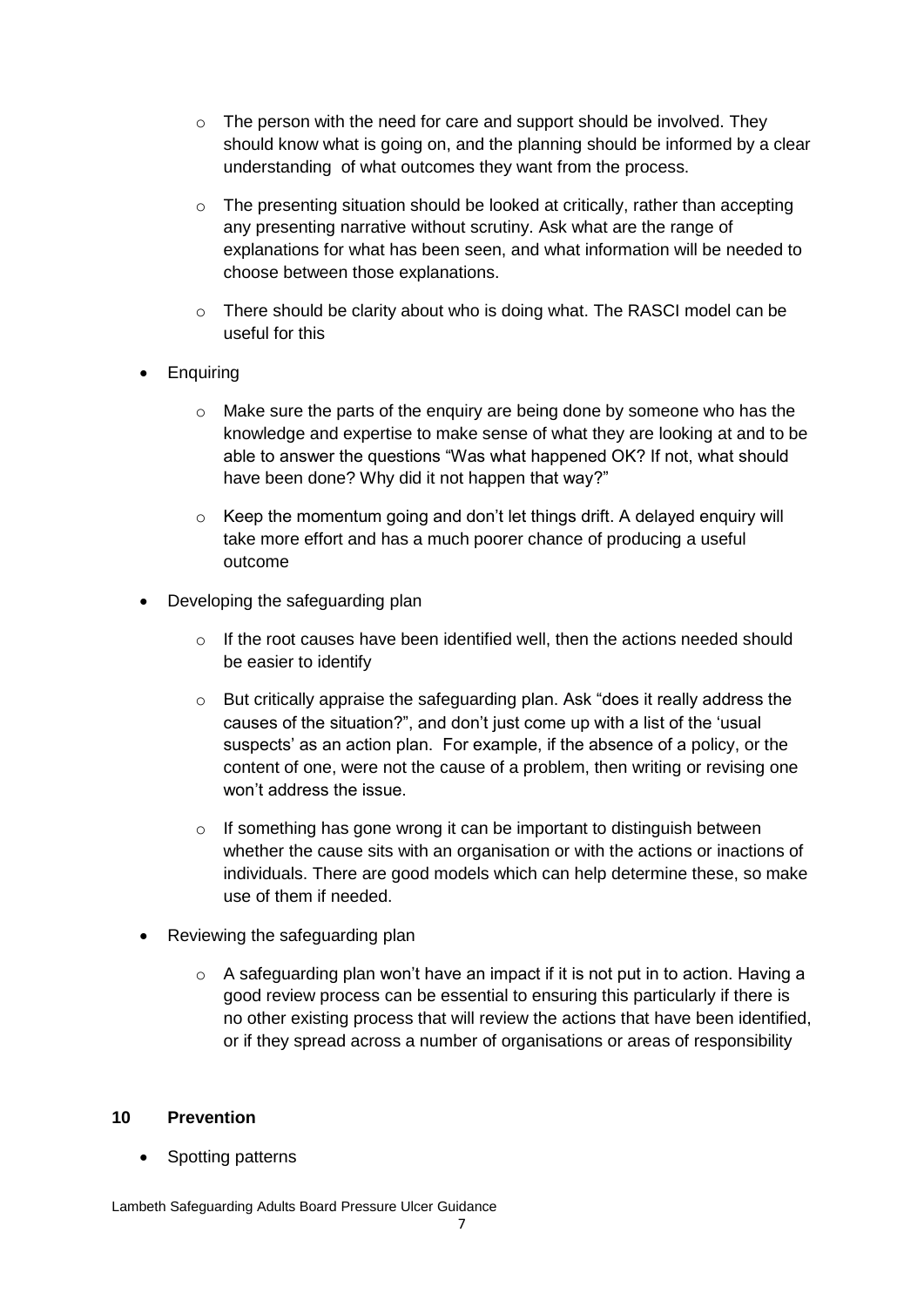- $\circ$  The person with the need for care and support should be involved. They should know what is going on, and the planning should be informed by a clear understanding of what outcomes they want from the process.
- $\circ$  The presenting situation should be looked at critically, rather than accepting any presenting narrative without scrutiny. Ask what are the range of explanations for what has been seen, and what information will be needed to choose between those explanations.
- $\circ$  There should be clarity about who is doing what. The RASCI model can be useful for this
- **Enquiring** 
	- o Make sure the parts of the enquiry are being done by someone who has the knowledge and expertise to make sense of what they are looking at and to be able to answer the questions "Was what happened OK? If not, what should have been done? Why did it not happen that way?"
	- $\circ$  Keep the momentum going and don't let things drift. A delayed enguiry will take more effort and has a much poorer chance of producing a useful outcome
- Developing the safeguarding plan
	- $\circ$  If the root causes have been identified well, then the actions needed should be easier to identify
	- o But critically appraise the safeguarding plan. Ask "does it really address the causes of the situation?", and don't just come up with a list of the 'usual suspects' as an action plan. For example, if the absence of a policy, or the content of one, were not the cause of a problem, then writing or revising one won't address the issue.
	- o If something has gone wrong it can be important to distinguish between whether the cause sits with an organisation or with the actions or inactions of individuals. There are good models which can help determine these, so make use of them if needed.
- Reviewing the safeguarding plan
	- o A safeguarding plan won't have an impact if it is not put in to action. Having a good review process can be essential to ensuring this particularly if there is no other existing process that will review the actions that have been identified, or if they spread across a number of organisations or areas of responsibility

#### **10 Prevention**

• Spotting patterns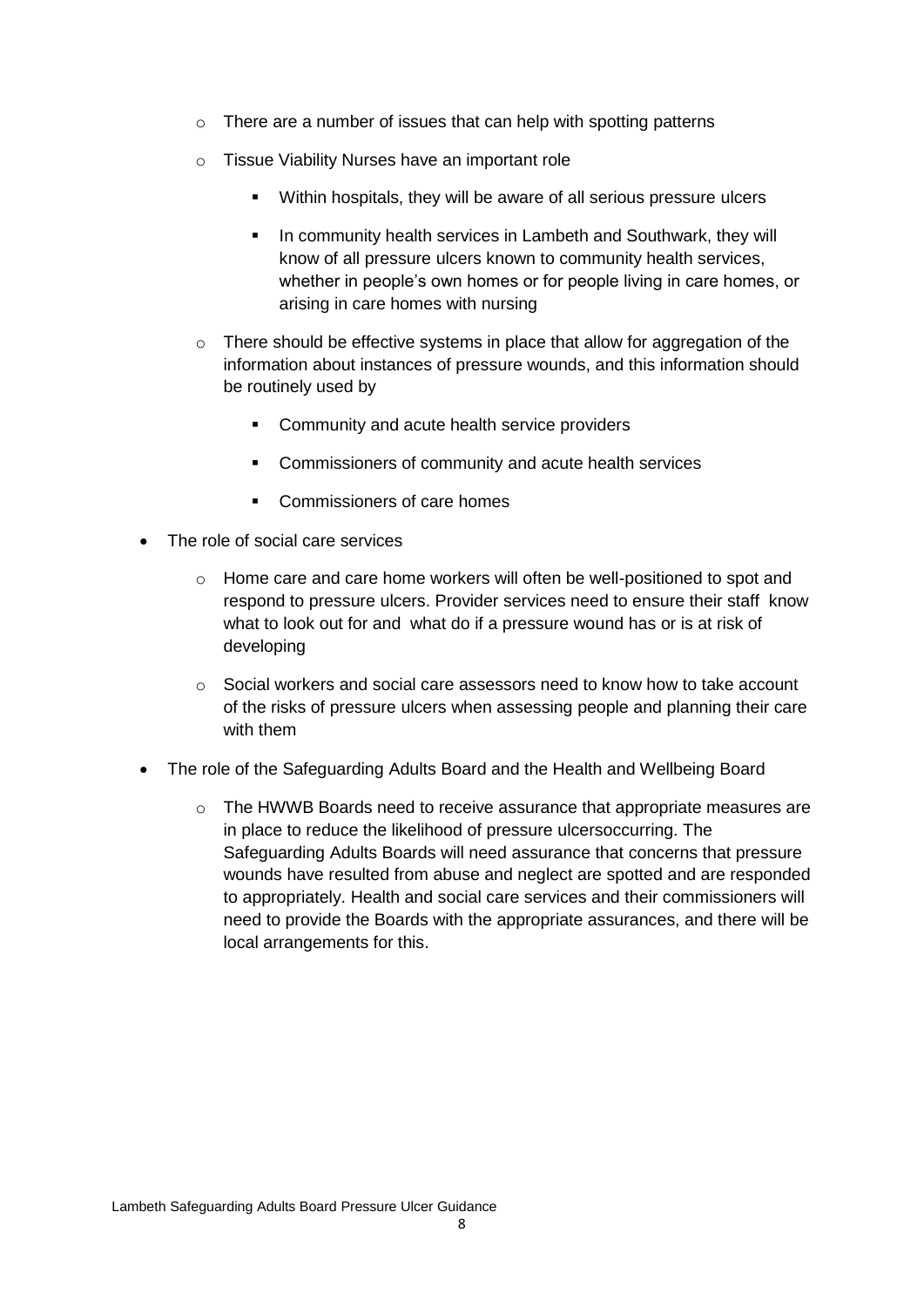- $\circ$  There are a number of issues that can help with spotting patterns
- o Tissue Viability Nurses have an important role
	- Within hospitals, they will be aware of all serious pressure ulcers
	- **I.** In community health services in Lambeth and Southwark, they will know of all pressure ulcers known to community health services, whether in people's own homes or for people living in care homes, or arising in care homes with nursing
- $\circ$  There should be effective systems in place that allow for aggregation of the information about instances of pressure wounds, and this information should be routinely used by
	- **Community and acute health service providers**
	- Commissioners of community and acute health services
	- Commissioners of care homes
- The role of social care services
	- $\circ$  Home care and care home workers will often be well-positioned to spot and respond to pressure ulcers. Provider services need to ensure their staff know what to look out for and what do if a pressure wound has or is at risk of developing
	- $\circ$  Social workers and social care assessors need to know how to take account of the risks of pressure ulcers when assessing people and planning their care with them
- The role of the Safeguarding Adults Board and the Health and Wellbeing Board
	- $\circ$  The HWWB Boards need to receive assurance that appropriate measures are in place to reduce the likelihood of pressure ulcersoccurring. The Safeguarding Adults Boards will need assurance that concerns that pressure wounds have resulted from abuse and neglect are spotted and are responded to appropriately. Health and social care services and their commissioners will need to provide the Boards with the appropriate assurances, and there will be local arrangements for this.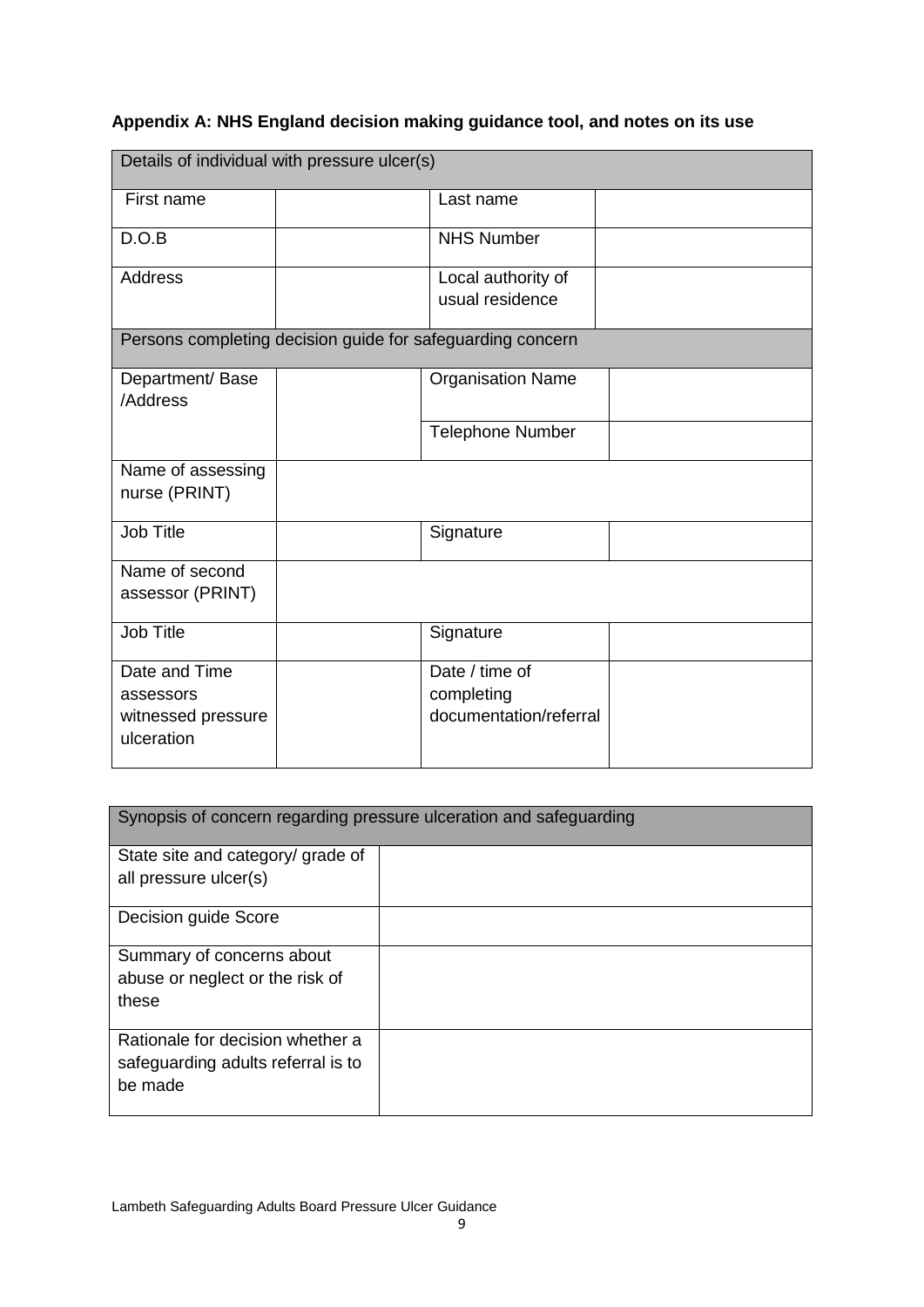# **Appendix A: NHS England decision making guidance tool, and notes on its use**

|                                                                | Details of individual with pressure ulcer(s) |                                                            |  |  |  |  |  |  |
|----------------------------------------------------------------|----------------------------------------------|------------------------------------------------------------|--|--|--|--|--|--|
| First name                                                     |                                              | Last name                                                  |  |  |  |  |  |  |
| D.O.B                                                          |                                              | <b>NHS Number</b>                                          |  |  |  |  |  |  |
| <b>Address</b>                                                 |                                              | Local authority of<br>usual residence                      |  |  |  |  |  |  |
|                                                                |                                              | Persons completing decision guide for safeguarding concern |  |  |  |  |  |  |
| Department/Base<br>/Address                                    |                                              | <b>Organisation Name</b>                                   |  |  |  |  |  |  |
|                                                                |                                              | <b>Telephone Number</b>                                    |  |  |  |  |  |  |
| Name of assessing<br>nurse (PRINT)                             |                                              |                                                            |  |  |  |  |  |  |
| <b>Job Title</b>                                               |                                              | Signature                                                  |  |  |  |  |  |  |
| Name of second<br>assessor (PRINT)                             |                                              |                                                            |  |  |  |  |  |  |
| <b>Job Title</b>                                               |                                              | Signature                                                  |  |  |  |  |  |  |
| Date and Time<br>assessors<br>witnessed pressure<br>ulceration |                                              | Date / time of<br>completing<br>documentation/referral     |  |  |  |  |  |  |

|                                    | Synopsis of concern regarding pressure ulceration and safeguarding |  |  |  |  |  |
|------------------------------------|--------------------------------------------------------------------|--|--|--|--|--|
| State site and category/ grade of  |                                                                    |  |  |  |  |  |
| all pressure ulcer(s)              |                                                                    |  |  |  |  |  |
| Decision guide Score               |                                                                    |  |  |  |  |  |
| Summary of concerns about          |                                                                    |  |  |  |  |  |
| abuse or neglect or the risk of    |                                                                    |  |  |  |  |  |
| these                              |                                                                    |  |  |  |  |  |
| Rationale for decision whether a   |                                                                    |  |  |  |  |  |
| safeguarding adults referral is to |                                                                    |  |  |  |  |  |
| be made                            |                                                                    |  |  |  |  |  |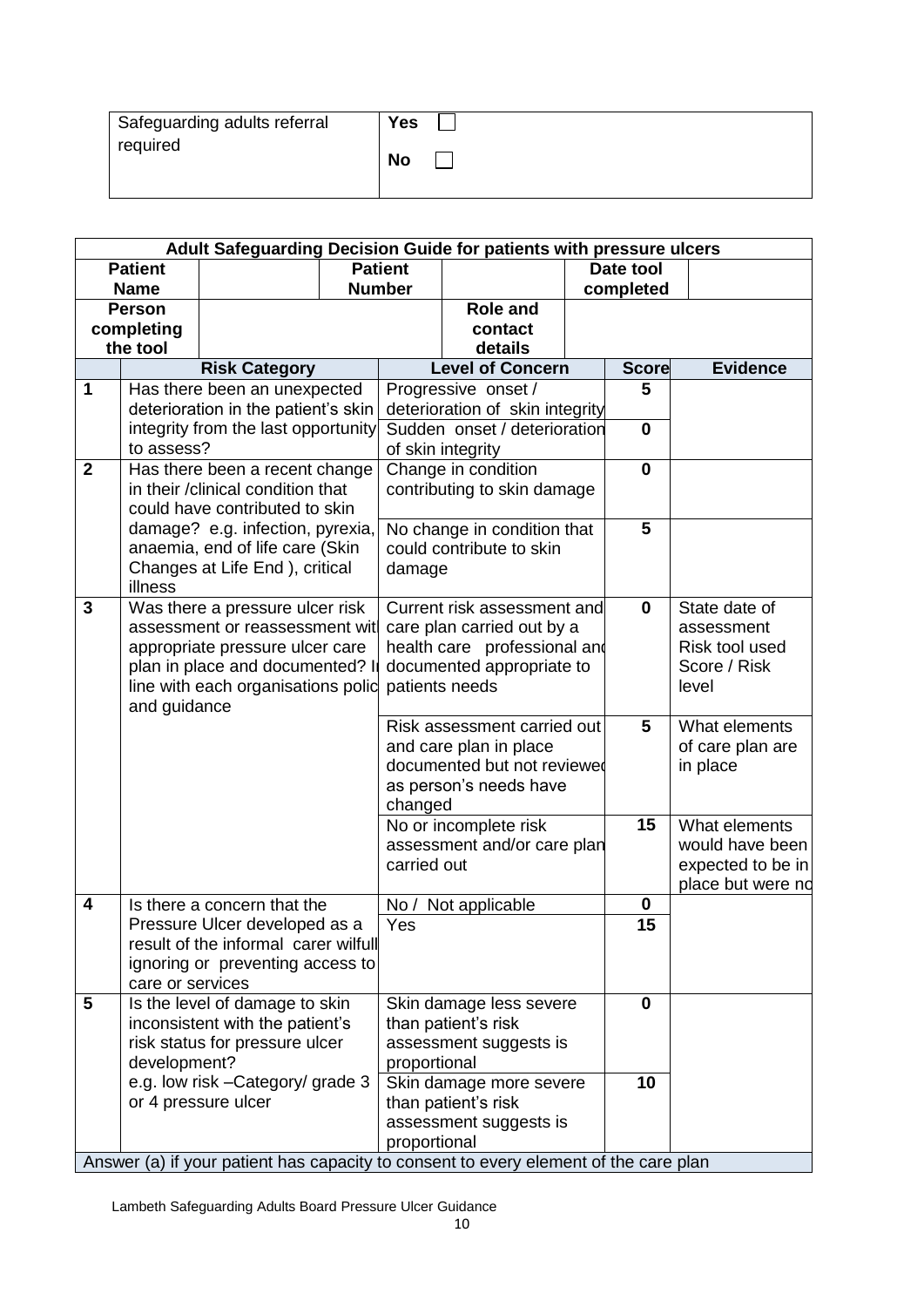| Safeguarding adults referral | <b>Yes</b> |
|------------------------------|------------|
| required                     | <b>No</b>  |
|                              |            |

|                | Adult Safeguarding Decision Guide for patients with pressure ulcers |                                                                       |  |                              |                                                                                      |  |              |                   |  |
|----------------|---------------------------------------------------------------------|-----------------------------------------------------------------------|--|------------------------------|--------------------------------------------------------------------------------------|--|--------------|-------------------|--|
|                | <b>Patient</b>                                                      |                                                                       |  | <b>Patient</b>               |                                                                                      |  | Date tool    |                   |  |
|                | <b>Name</b>                                                         |                                                                       |  | <b>Number</b>                |                                                                                      |  | completed    |                   |  |
|                | <b>Person</b>                                                       |                                                                       |  |                              | <b>Role and</b>                                                                      |  |              |                   |  |
|                | completing<br>the tool                                              |                                                                       |  |                              | contact                                                                              |  |              |                   |  |
|                |                                                                     |                                                                       |  |                              | details<br><b>Level of Concern</b>                                                   |  | <b>Score</b> | Evidence          |  |
| 1              |                                                                     | <b>Risk Category</b><br>Has there been an unexpected                  |  |                              | Progressive onset /                                                                  |  | 5            |                   |  |
|                |                                                                     | deterioration in the patient's skin                                   |  |                              | deterioration of skin integrity                                                      |  |              |                   |  |
|                |                                                                     | integrity from the last opportunity                                   |  |                              | Sudden onset / deterioration                                                         |  | $\bf{0}$     |                   |  |
|                | to assess?                                                          |                                                                       |  |                              | of skin integrity                                                                    |  |              |                   |  |
| $\overline{2}$ |                                                                     | Has there been a recent change                                        |  |                              | Change in condition                                                                  |  | $\mathbf 0$  |                   |  |
|                |                                                                     | in their /clinical condition that                                     |  |                              | contributing to skin damage                                                          |  |              |                   |  |
|                |                                                                     | could have contributed to skin                                        |  |                              |                                                                                      |  |              |                   |  |
|                |                                                                     | damage? e.g. infection, pyrexia,                                      |  |                              | No change in condition that                                                          |  | 5            |                   |  |
|                |                                                                     | anaemia, end of life care (Skin                                       |  |                              | could contribute to skin                                                             |  |              |                   |  |
|                | illness                                                             | Changes at Life End ), critical                                       |  | damage                       |                                                                                      |  |              |                   |  |
| 3              |                                                                     | Was there a pressure ulcer risk                                       |  |                              | Current risk assessment and                                                          |  | $\mathbf 0$  | State date of     |  |
|                |                                                                     | assessment or reassessment wit                                        |  |                              | care plan carried out by a                                                           |  |              | assessment        |  |
|                |                                                                     | appropriate pressure ulcer care                                       |  | health care professional and |                                                                                      |  |              | Risk tool used    |  |
|                |                                                                     | plan in place and documented? In                                      |  |                              | documented appropriate to                                                            |  |              | Score / Risk      |  |
|                |                                                                     | line with each organisations polic                                    |  |                              | patients needs                                                                       |  |              | level             |  |
|                | and guidance                                                        |                                                                       |  |                              |                                                                                      |  |              |                   |  |
|                |                                                                     |                                                                       |  | Risk assessment carried out  |                                                                                      |  | 5            | What elements     |  |
|                |                                                                     |                                                                       |  | and care plan in place       |                                                                                      |  |              | of care plan are  |  |
|                |                                                                     |                                                                       |  |                              | documented but not reviewed<br>as person's needs have                                |  |              | in place          |  |
|                |                                                                     |                                                                       |  | changed                      |                                                                                      |  |              |                   |  |
|                |                                                                     |                                                                       |  |                              | No or incomplete risk                                                                |  | 15           | What elements     |  |
|                |                                                                     |                                                                       |  | assessment and/or care plan  |                                                                                      |  |              | would have been   |  |
|                |                                                                     |                                                                       |  | carried out                  |                                                                                      |  |              | expected to be in |  |
|                |                                                                     |                                                                       |  |                              |                                                                                      |  |              | place but were no |  |
| 4              |                                                                     | Is there a concern that the                                           |  | No /                         | Not applicable                                                                       |  | 0            |                   |  |
|                |                                                                     | Pressure Ulcer developed as a<br>result of the informal carer wilfull |  | Yes                          |                                                                                      |  | 15           |                   |  |
|                |                                                                     | ignoring or preventing access to                                      |  |                              |                                                                                      |  |              |                   |  |
|                | care or services                                                    |                                                                       |  |                              |                                                                                      |  |              |                   |  |
| 5              |                                                                     | Is the level of damage to skin                                        |  |                              | Skin damage less severe                                                              |  | $\mathbf 0$  |                   |  |
|                |                                                                     | inconsistent with the patient's                                       |  |                              | than patient's risk                                                                  |  |              |                   |  |
|                |                                                                     | risk status for pressure ulcer                                        |  |                              | assessment suggests is                                                               |  |              |                   |  |
|                | development?                                                        |                                                                       |  | proportional                 |                                                                                      |  |              |                   |  |
|                |                                                                     | e.g. low risk - Category/ grade 3                                     |  |                              | Skin damage more severe                                                              |  | 10           |                   |  |
|                |                                                                     | or 4 pressure ulcer                                                   |  |                              | than patient's risk                                                                  |  |              |                   |  |
|                |                                                                     |                                                                       |  | proportional                 | assessment suggests is                                                               |  |              |                   |  |
|                |                                                                     |                                                                       |  |                              | Answer (a) if your patient has capacity to consent to every element of the care plan |  |              |                   |  |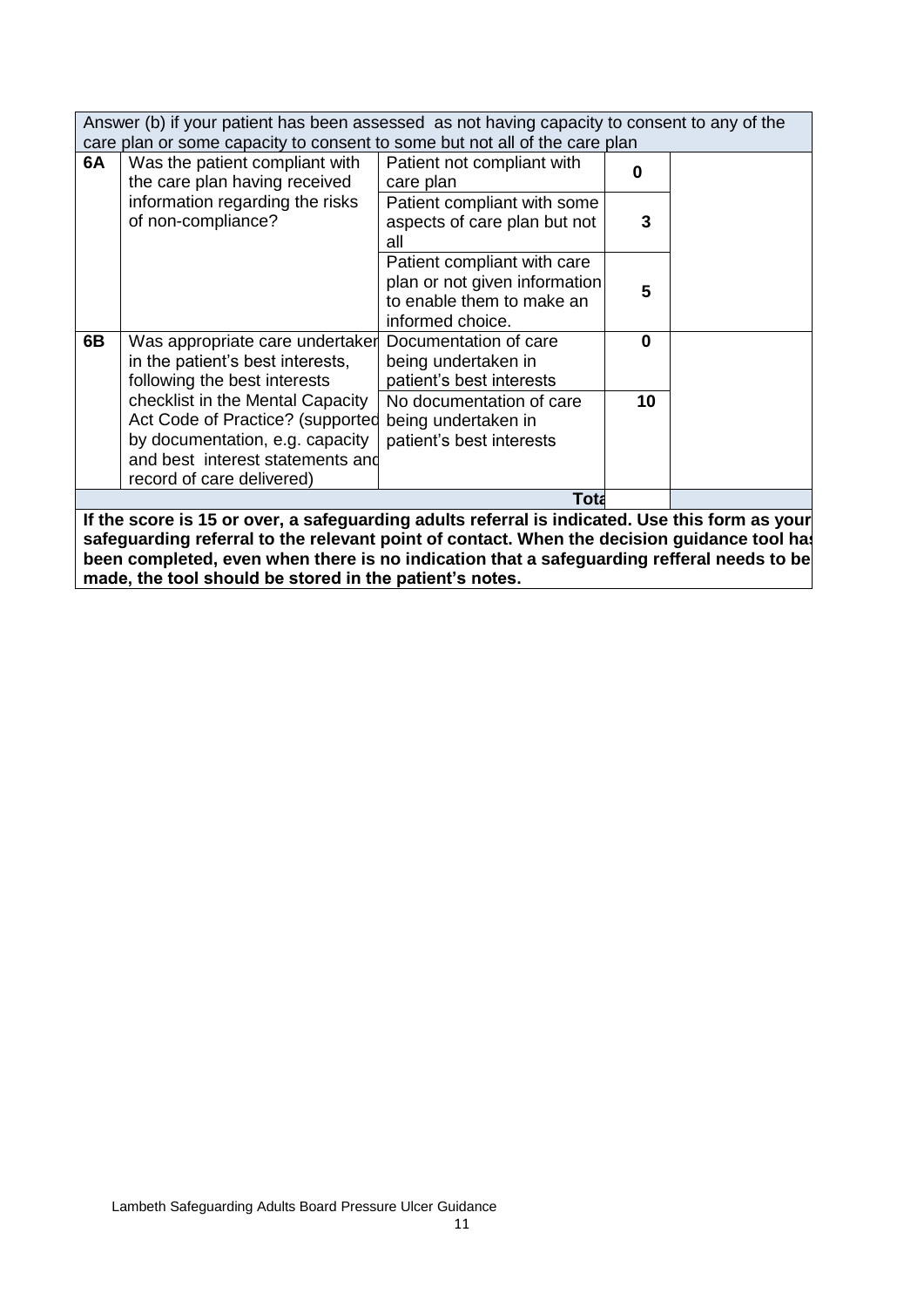Answer (b) if your patient has been assessed as not having capacity to consent to any of the care plan or some capacity to consent to some but not all of the care plan

|    | care plan or some capacity to consent to some but not all or the care plan.                                                                                              |                                                                                                               |          |  |
|----|--------------------------------------------------------------------------------------------------------------------------------------------------------------------------|---------------------------------------------------------------------------------------------------------------|----------|--|
| 6A | Was the patient compliant with<br>the care plan having received                                                                                                          | Patient not compliant with<br>care plan                                                                       | O        |  |
|    | information regarding the risks<br>of non-compliance?                                                                                                                    | Patient compliant with some<br>aspects of care plan but not<br>all                                            | 3        |  |
|    |                                                                                                                                                                          | Patient compliant with care<br>plan or not given information<br>to enable them to make an<br>informed choice. | 5        |  |
| 6B | Was appropriate care undertaker<br>in the patient's best interests,<br>following the best interests                                                                      | Documentation of care<br>being undertaken in<br>patient's best interests                                      | $\bf{0}$ |  |
|    | checklist in the Mental Capacity<br>Act Code of Practice? (supported<br>by documentation, e.g. capacity<br>and best interest statements and<br>record of care delivered) | No documentation of care<br>being undertaken in<br>patient's best interests                                   | 10       |  |
|    |                                                                                                                                                                          | <b>Tota</b>                                                                                                   |          |  |

**If the score is 15 or over, a safeguarding adults referral is indicated. Use this form as your**  safeguarding referral to the relevant point of contact. When the decision guidance tool has **been completed, even when there is no indication that a safeguarding refferal needs to be made, the tool should be stored in the patient's notes.**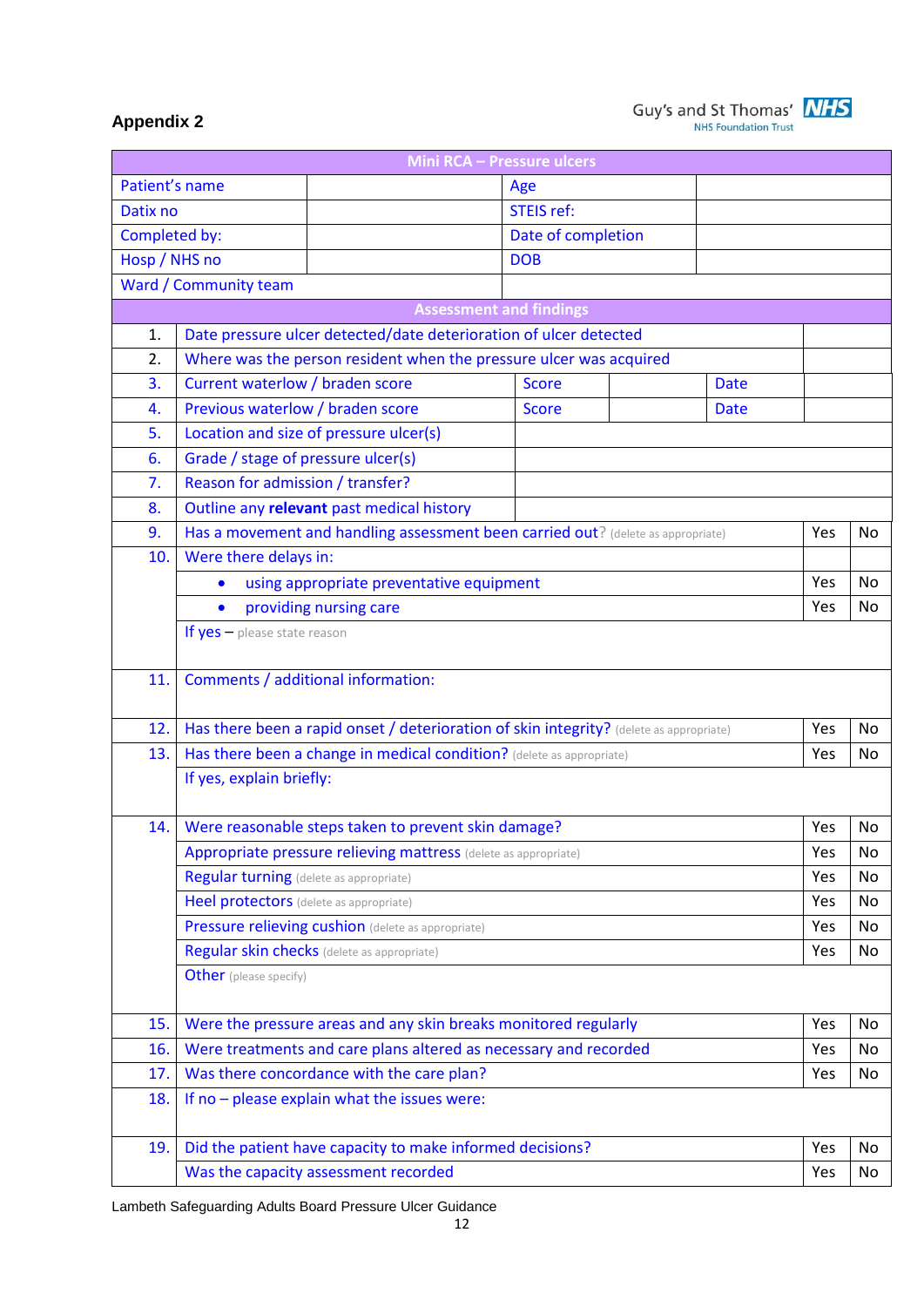

# **Appendix 2**

|                | <b>Mini RCA - Pressure ulcers</b>                                                       |                    |             |            |           |  |  |
|----------------|-----------------------------------------------------------------------------------------|--------------------|-------------|------------|-----------|--|--|
| Patient's name |                                                                                         | Age                |             |            |           |  |  |
| Datix no       |                                                                                         | <b>STEIS ref:</b>  |             |            |           |  |  |
| Completed by:  |                                                                                         | Date of completion |             |            |           |  |  |
| Hosp / NHS no  |                                                                                         | <b>DOB</b>         |             |            |           |  |  |
|                | Ward / Community team                                                                   |                    |             |            |           |  |  |
|                | <b>Assessment and findings</b>                                                          |                    |             |            |           |  |  |
| 1.             | Date pressure ulcer detected/date deterioration of ulcer detected                       |                    |             |            |           |  |  |
| 2.             | Where was the person resident when the pressure ulcer was acquired                      |                    |             |            |           |  |  |
| 3.             | Current waterlow / braden score                                                         | <b>Date</b>        |             |            |           |  |  |
| 4.             | Previous waterlow / braden score                                                        | <b>Score</b>       | <b>Date</b> |            |           |  |  |
| 5.             | Location and size of pressure ulcer(s)                                                  |                    |             |            |           |  |  |
| 6.             | Grade / stage of pressure ulcer(s)                                                      |                    |             |            |           |  |  |
| 7.             | Reason for admission / transfer?                                                        |                    |             |            |           |  |  |
| 8.             | Outline any relevant past medical history                                               |                    |             |            |           |  |  |
| 9.             | Has a movement and handling assessment been carried out? (delete as appropriate)        |                    |             | Yes        | No        |  |  |
| 10.            | Were there delays in:                                                                   |                    |             |            |           |  |  |
|                | using appropriate preventative equipment<br>$\bullet$                                   |                    |             |            |           |  |  |
|                | providing nursing care<br>$\bullet$                                                     |                    |             |            |           |  |  |
|                | If $yes$ – please state reason                                                          |                    |             |            |           |  |  |
|                |                                                                                         |                    |             |            |           |  |  |
| 11.            | Comments / additional information:                                                      |                    |             |            |           |  |  |
|                |                                                                                         |                    |             |            |           |  |  |
| 12.            | Has there been a rapid onset / deterioration of skin integrity? (delete as appropriate) |                    |             | Yes        | No        |  |  |
| 13.            | Has there been a change in medical condition? (delete as appropriate)                   |                    |             | Yes        | <b>No</b> |  |  |
|                | If yes, explain briefly:                                                                |                    |             |            |           |  |  |
|                |                                                                                         |                    |             |            |           |  |  |
| 14.            | Were reasonable steps taken to prevent skin damage?                                     |                    |             | Yes        | No        |  |  |
|                | Appropriate pressure relieving mattress (delete as appropriate)                         |                    |             | Yes        | No        |  |  |
|                | <b>Regular turning</b> (delete as appropriate)                                          |                    |             | Yes        | No.       |  |  |
|                | Heel protectors (delete as appropriate)                                                 |                    |             | Yes        | No        |  |  |
|                | Pressure relieving cushion (delete as appropriate)                                      |                    |             | Yes        | No        |  |  |
|                | Regular skin checks (delete as appropriate)                                             |                    |             | Yes        | No        |  |  |
|                | <b>Other</b> (please specify)                                                           |                    |             |            |           |  |  |
|                |                                                                                         |                    |             |            |           |  |  |
| 15.            | Were the pressure areas and any skin breaks monitored regularly                         |                    |             | Yes        | No        |  |  |
| 16.            | Were treatments and care plans altered as necessary and recorded                        |                    |             | Yes        | No        |  |  |
| 17.            | Was there concordance with the care plan?                                               |                    |             | Yes        | No        |  |  |
| 18.            | If no - please explain what the issues were:                                            |                    |             |            |           |  |  |
|                |                                                                                         |                    |             |            |           |  |  |
| 19.            | Did the patient have capacity to make informed decisions?                               |                    |             | Yes<br>Yes | No<br>No  |  |  |
|                | Was the capacity assessment recorded                                                    |                    |             |            |           |  |  |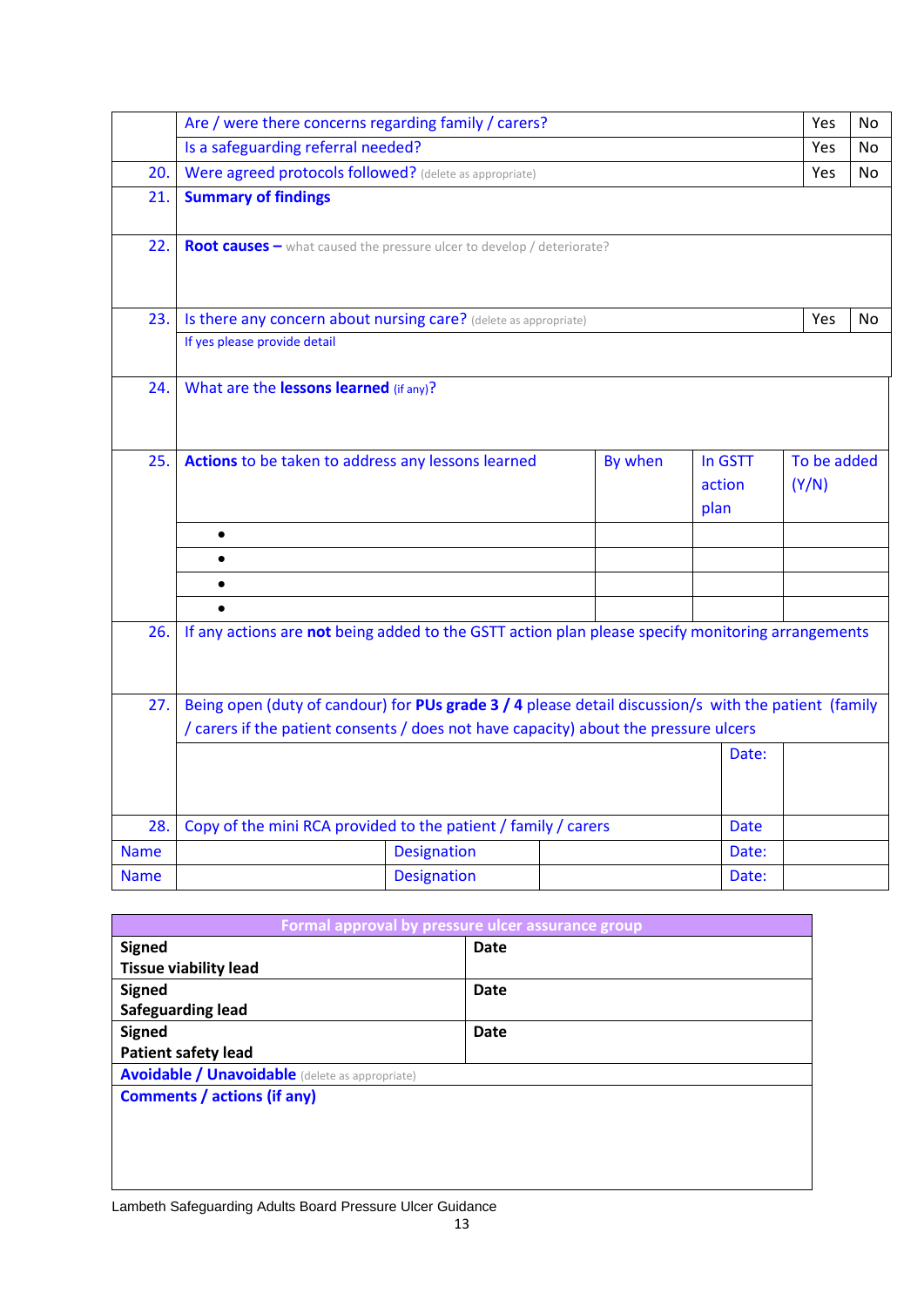|             | Are / were there concerns regarding family / carers?                                                 |                    |         |         | Yes         | No  |
|-------------|------------------------------------------------------------------------------------------------------|--------------------|---------|---------|-------------|-----|
|             | Is a safeguarding referral needed?                                                                   |                    |         |         | Yes         | No. |
| 20.         | Were agreed protocols followed? (delete as appropriate)                                              |                    |         |         | Yes         | No  |
| 21.         | <b>Summary of findings</b>                                                                           |                    |         |         |             |     |
| 22.         | Root causes - what caused the pressure ulcer to develop / deteriorate?                               |                    |         |         |             |     |
| 23.         | Is there any concern about nursing care? (delete as appropriate)                                     |                    |         |         | Yes         | No. |
|             | If yes please provide detail                                                                         |                    |         |         |             |     |
| 24.         | What are the lessons learned (if any)?                                                               |                    |         |         |             |     |
| 25.         | Actions to be taken to address any lessons learned                                                   |                    | By when | In GSTT | To be added |     |
|             |                                                                                                      |                    |         | action  | (Y/N)       |     |
|             |                                                                                                      |                    |         | plan    |             |     |
|             | $\bullet$                                                                                            |                    |         |         |             |     |
|             | $\bullet$                                                                                            |                    |         |         |             |     |
|             |                                                                                                      |                    |         |         |             |     |
|             |                                                                                                      |                    |         |         |             |     |
| 26.         | If any actions are not being added to the GSTT action plan please specify monitoring arrangements    |                    |         |         |             |     |
|             |                                                                                                      |                    |         |         |             |     |
| 27.         | Being open (duty of candour) for PUs grade 3 / 4 please detail discussion/s with the patient (family |                    |         |         |             |     |
|             | / carers if the patient consents / does not have capacity) about the pressure ulcers                 |                    |         |         |             |     |
|             |                                                                                                      |                    |         | Date:   |             |     |
|             |                                                                                                      |                    |         |         |             |     |
| 28.         | Copy of the mini RCA provided to the patient / family / carers                                       |                    |         | Date    |             |     |
| <b>Name</b> |                                                                                                      | <b>Designation</b> |         | Date:   |             |     |
| <b>Name</b> |                                                                                                      | <b>Designation</b> |         | Date:   |             |     |

| Formal approval by pressure ulcer assurance group |  |  |  |  |  |
|---------------------------------------------------|--|--|--|--|--|
| <b>Date</b>                                       |  |  |  |  |  |
|                                                   |  |  |  |  |  |
| <b>Date</b>                                       |  |  |  |  |  |
|                                                   |  |  |  |  |  |
| <b>Date</b>                                       |  |  |  |  |  |
|                                                   |  |  |  |  |  |
|                                                   |  |  |  |  |  |
|                                                   |  |  |  |  |  |
|                                                   |  |  |  |  |  |
|                                                   |  |  |  |  |  |
|                                                   |  |  |  |  |  |
|                                                   |  |  |  |  |  |
|                                                   |  |  |  |  |  |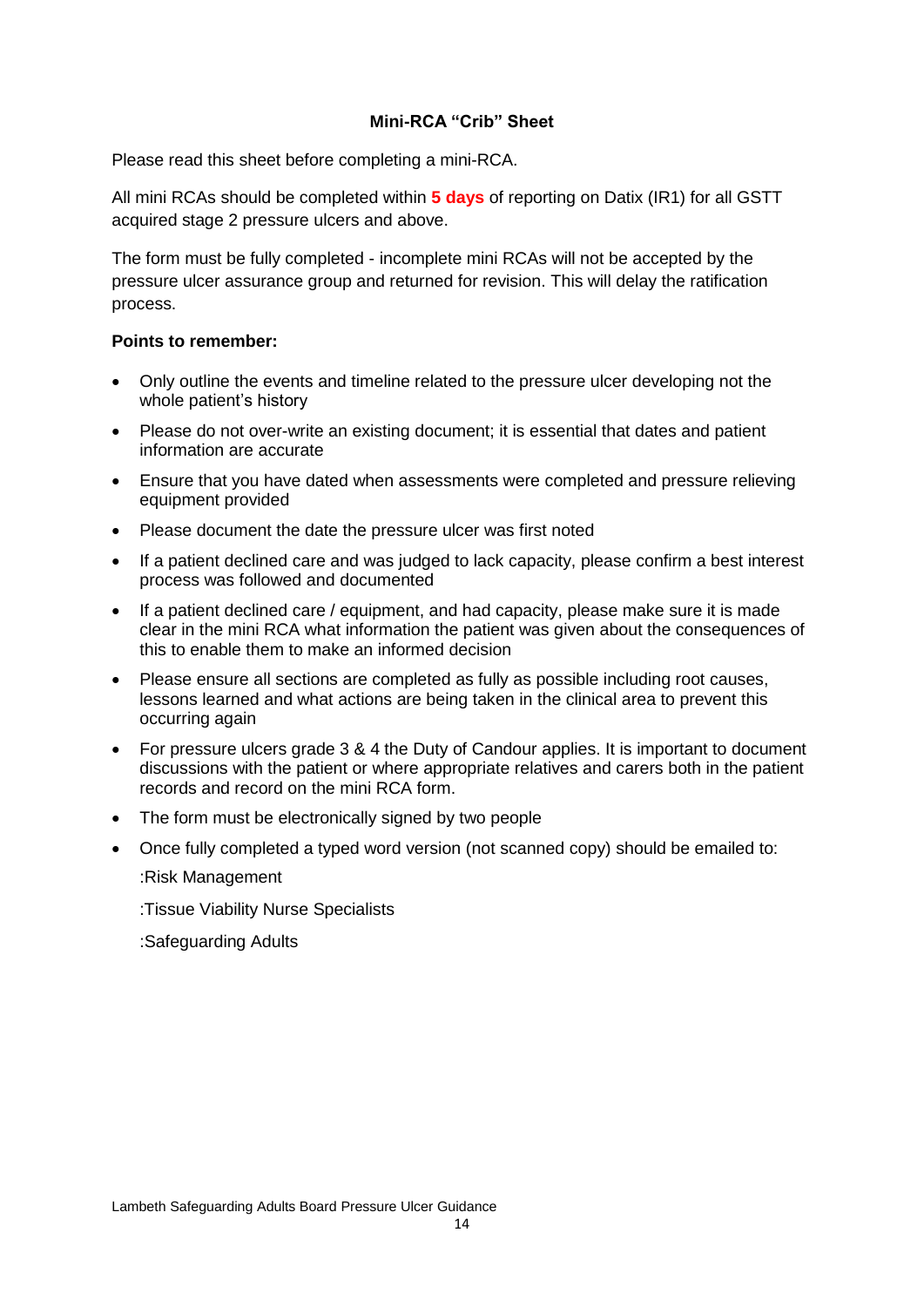#### **Mini-RCA "Crib" Sheet**

Please read this sheet before completing a mini-RCA.

All mini RCAs should be completed within **5 days** of reporting on Datix (IR1) for all GSTT acquired stage 2 pressure ulcers and above.

The form must be fully completed - incomplete mini RCAs will not be accepted by the pressure ulcer assurance group and returned for revision. This will delay the ratification process.

#### **Points to remember:**

- Only outline the events and timeline related to the pressure ulcer developing not the whole patient's history
- Please do not over-write an existing document; it is essential that dates and patient information are accurate
- Ensure that you have dated when assessments were completed and pressure relieving equipment provided
- Please document the date the pressure ulcer was first noted
- If a patient declined care and was judged to lack capacity, please confirm a best interest process was followed and documented
- If a patient declined care / equipment, and had capacity, please make sure it is made clear in the mini RCA what information the patient was given about the consequences of this to enable them to make an informed decision
- Please ensure all sections are completed as fully as possible including root causes, lessons learned and what actions are being taken in the clinical area to prevent this occurring again
- For pressure ulcers grade 3 & 4 the Duty of Candour applies. It is important to document discussions with the patient or where appropriate relatives and carers both in the patient records and record on the mini RCA form.
- The form must be electronically signed by two people
- Once fully completed a typed word version (not scanned copy) should be emailed to: :Risk Management

:Tissue Viability Nurse Specialists

:Safeguarding Adults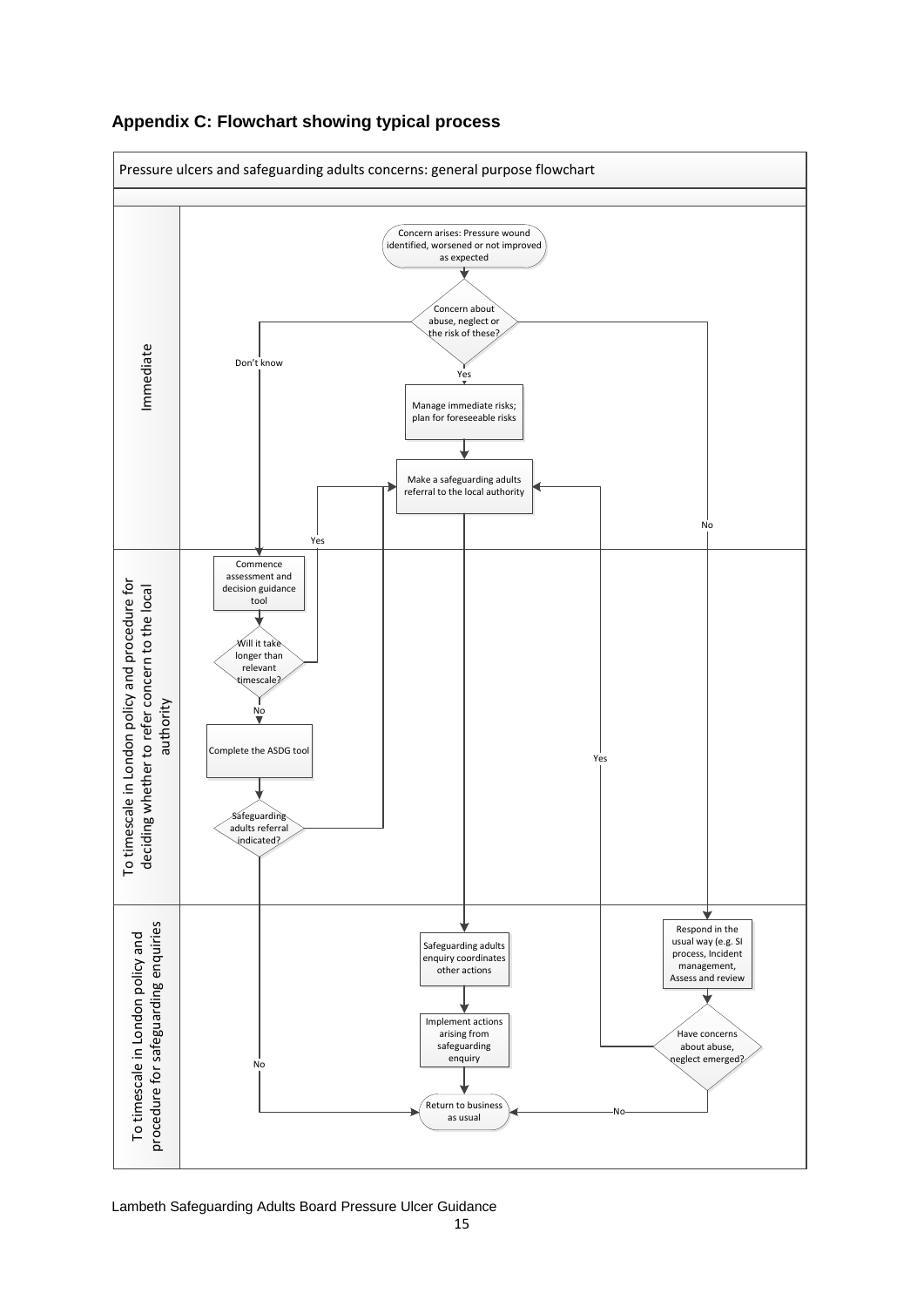

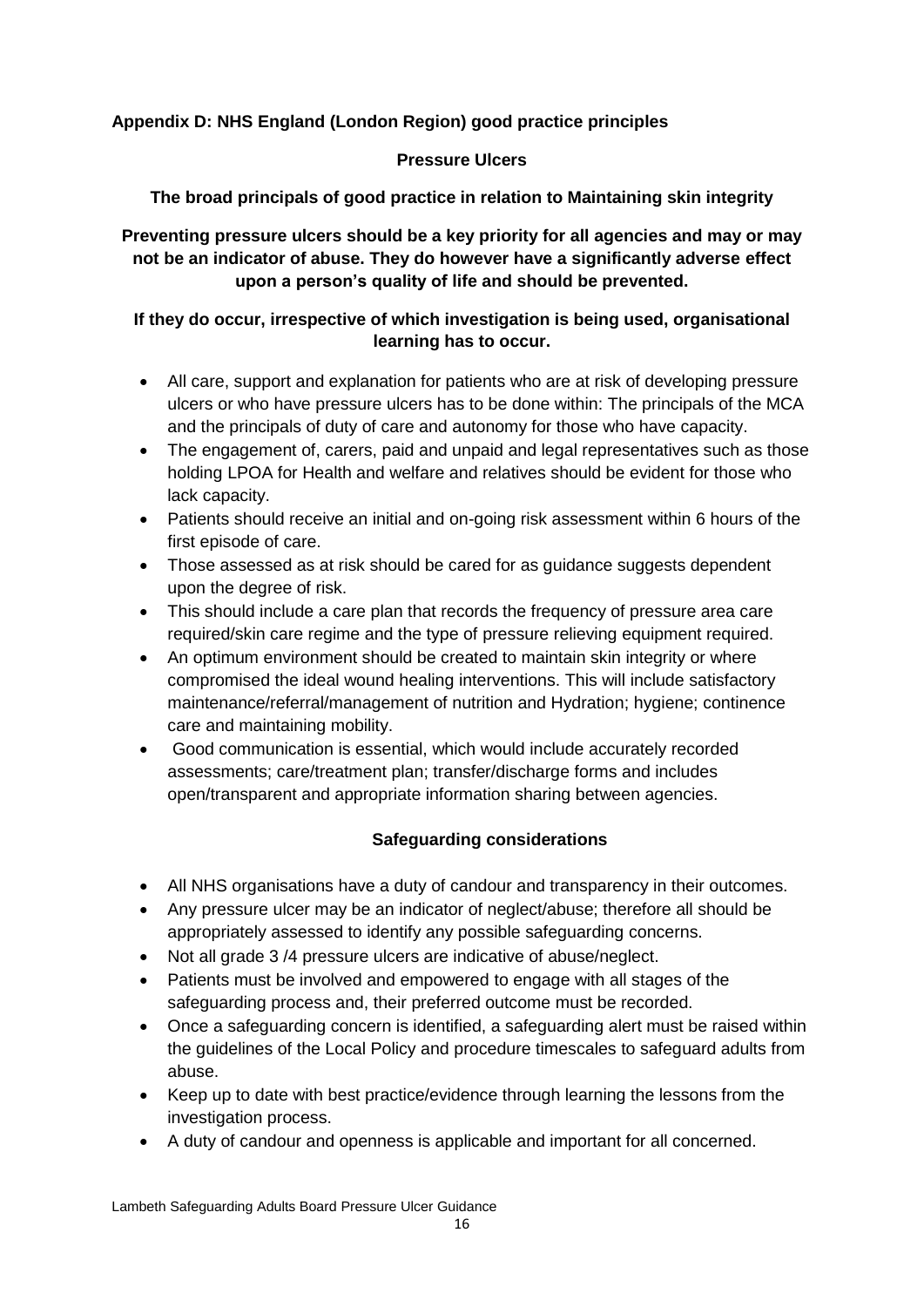# **Appendix D: NHS England (London Region) good practice principles**

#### **Pressure Ulcers**

**The broad principals of good practice in relation to Maintaining skin integrity**

**Preventing pressure ulcers should be a key priority for all agencies and may or may not be an indicator of abuse. They do however have a significantly adverse effect upon a person's quality of life and should be prevented.**

## **If they do occur, irrespective of which investigation is being used, organisational learning has to occur.**

- All care, support and explanation for patients who are at risk of developing pressure ulcers or who have pressure ulcers has to be done within: The principals of the MCA and the principals of duty of care and autonomy for those who have capacity.
- The engagement of, carers, paid and unpaid and legal representatives such as those holding LPOA for Health and welfare and relatives should be evident for those who lack capacity.
- Patients should receive an initial and on-going risk assessment within 6 hours of the first episode of care.
- Those assessed as at risk should be cared for as quidance suggests dependent upon the degree of risk.
- This should include a care plan that records the frequency of pressure area care required/skin care regime and the type of pressure relieving equipment required.
- An optimum environment should be created to maintain skin integrity or where compromised the ideal wound healing interventions. This will include satisfactory maintenance/referral/management of nutrition and Hydration; hygiene; continence care and maintaining mobility.
- Good communication is essential, which would include accurately recorded assessments; care/treatment plan; transfer/discharge forms and includes open/transparent and appropriate information sharing between agencies.

# **Safeguarding considerations**

- All NHS organisations have a duty of candour and transparency in their outcomes.
- Any pressure ulcer may be an indicator of neglect/abuse; therefore all should be appropriately assessed to identify any possible safeguarding concerns.
- Not all grade 3/4 pressure ulcers are indicative of abuse/neglect.
- Patients must be involved and empowered to engage with all stages of the safeguarding process and, their preferred outcome must be recorded.
- Once a safeguarding concern is identified, a safeguarding alert must be raised within the guidelines of the Local Policy and procedure timescales to safeguard adults from abuse.
- Keep up to date with best practice/evidence through learning the lessons from the investigation process.
- A duty of candour and openness is applicable and important for all concerned.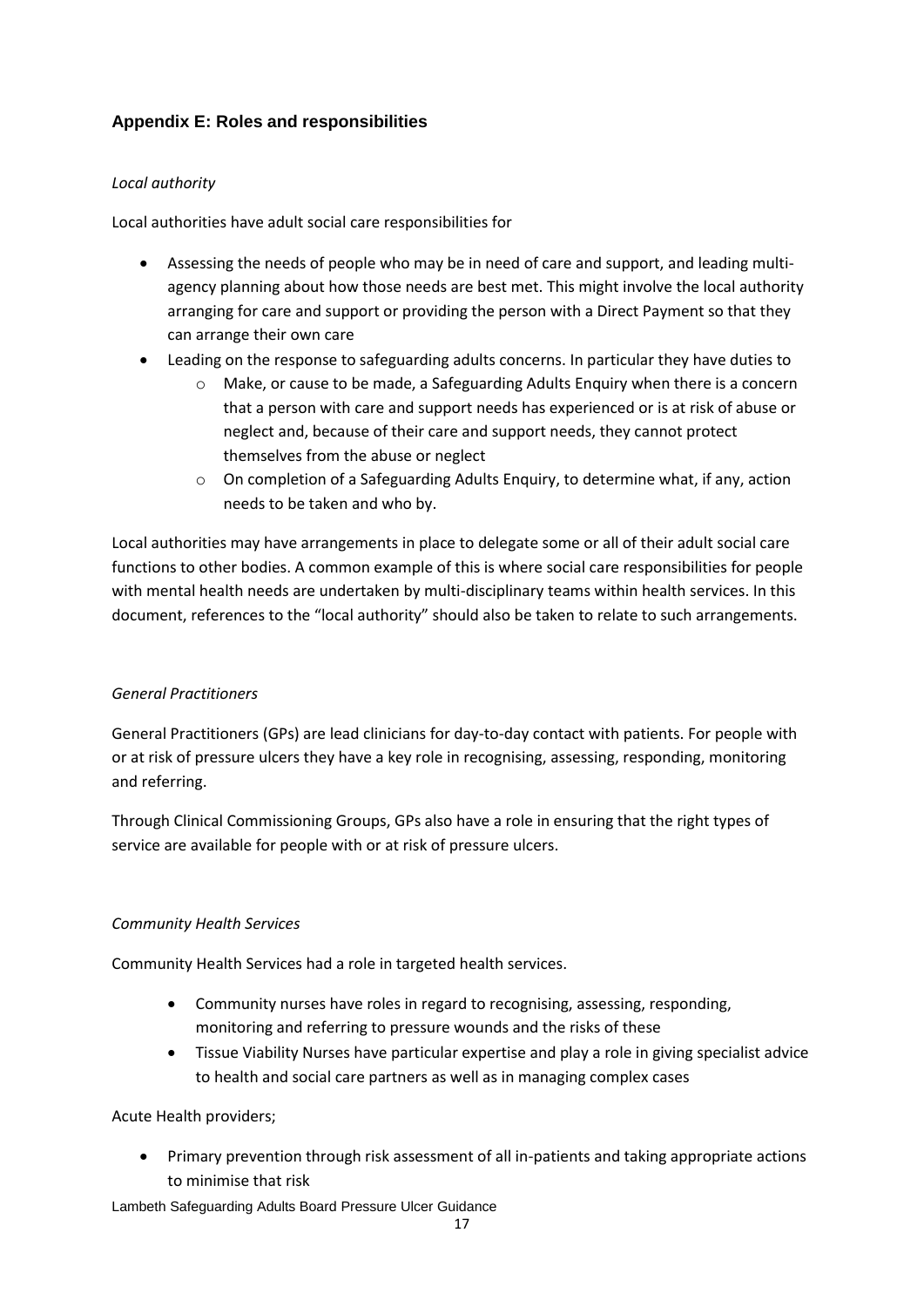## **Appendix E: Roles and responsibilities**

#### *Local authority*

Local authorities have adult social care responsibilities for

- Assessing the needs of people who may be in need of care and support, and leading multiagency planning about how those needs are best met. This might involve the local authority arranging for care and support or providing the person with a Direct Payment so that they can arrange their own care
- Leading on the response to safeguarding adults concerns. In particular they have duties to
	- o Make, or cause to be made, a Safeguarding Adults Enquiry when there is a concern that a person with care and support needs has experienced or is at risk of abuse or neglect and, because of their care and support needs, they cannot protect themselves from the abuse or neglect
	- $\circ$  On completion of a Safeguarding Adults Enquiry, to determine what, if any, action needs to be taken and who by.

Local authorities may have arrangements in place to delegate some or all of their adult social care functions to other bodies. A common example of this is where social care responsibilities for people with mental health needs are undertaken by multi-disciplinary teams within health services. In this document, references to the "local authority" should also be taken to relate to such arrangements.

#### *General Practitioners*

General Practitioners (GPs) are lead clinicians for day-to-day contact with patients. For people with or at risk of pressure ulcers they have a key role in recognising, assessing, responding, monitoring and referring.

Through Clinical Commissioning Groups, GPs also have a role in ensuring that the right types of service are available for people with or at risk of pressure ulcers.

#### *Community Health Services*

Community Health Services had a role in targeted health services.

- Community nurses have roles in regard to recognising, assessing, responding, monitoring and referring to pressure wounds and the risks of these
- Tissue Viability Nurses have particular expertise and play a role in giving specialist advice to health and social care partners as well as in managing complex cases

#### Acute Health providers;

 Primary prevention through risk assessment of all in-patients and taking appropriate actions to minimise that risk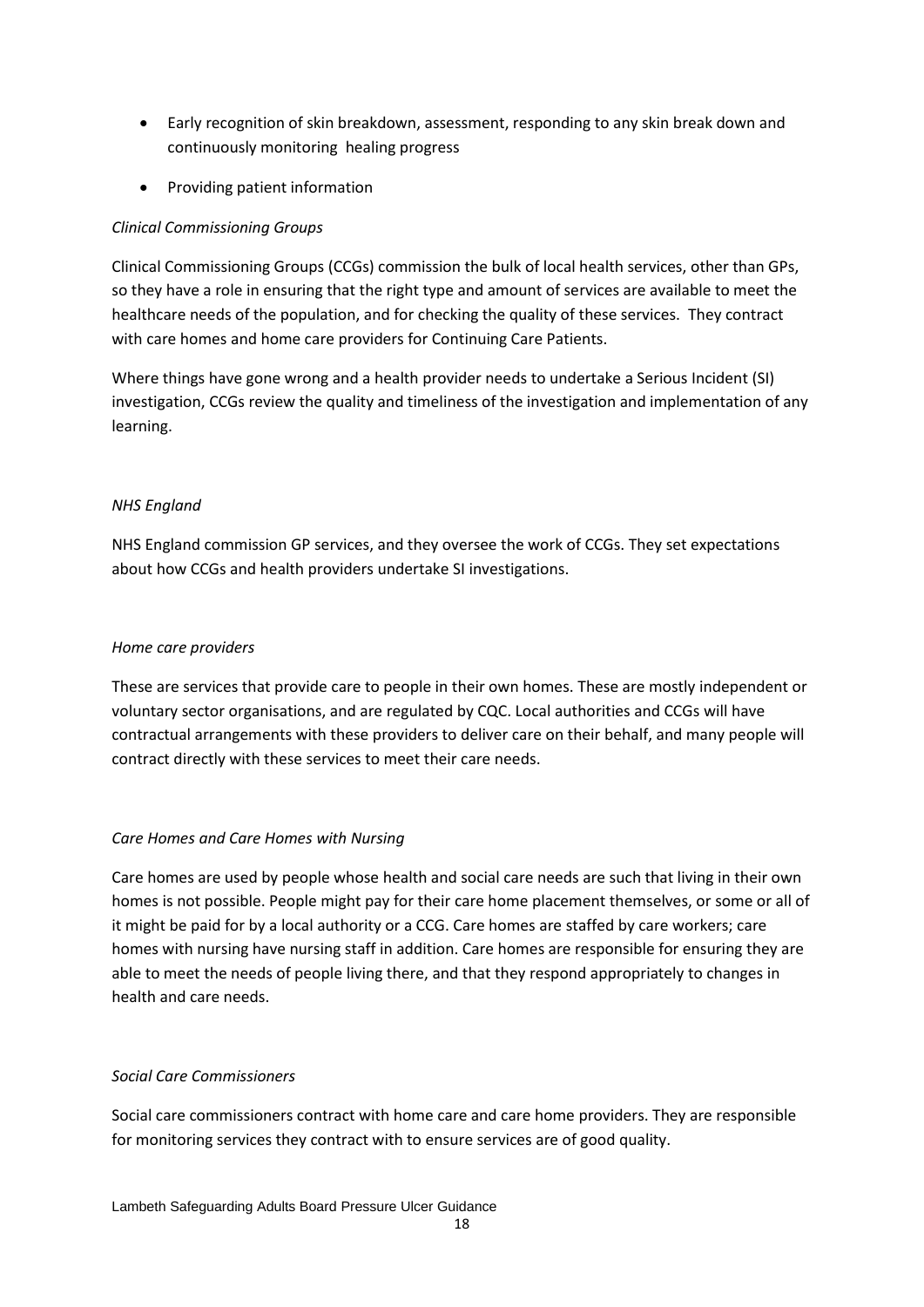- Early recognition of skin breakdown, assessment, responding to any skin break down and continuously monitoring healing progress
- Providing patient information

#### *Clinical Commissioning Groups*

Clinical Commissioning Groups (CCGs) commission the bulk of local health services, other than GPs, so they have a role in ensuring that the right type and amount of services are available to meet the healthcare needs of the population, and for checking the quality of these services. They contract with care homes and home care providers for Continuing Care Patients.

Where things have gone wrong and a health provider needs to undertake a Serious Incident (SI) investigation, CCGs review the quality and timeliness of the investigation and implementation of any learning.

#### *NHS England*

NHS England commission GP services, and they oversee the work of CCGs. They set expectations about how CCGs and health providers undertake SI investigations.

#### *Home care providers*

These are services that provide care to people in their own homes. These are mostly independent or voluntary sector organisations, and are regulated by CQC. Local authorities and CCGs will have contractual arrangements with these providers to deliver care on their behalf, and many people will contract directly with these services to meet their care needs.

#### *Care Homes and Care Homes with Nursing*

Care homes are used by people whose health and social care needs are such that living in their own homes is not possible. People might pay for their care home placement themselves, or some or all of it might be paid for by a local authority or a CCG. Care homes are staffed by care workers; care homes with nursing have nursing staff in addition. Care homes are responsible for ensuring they are able to meet the needs of people living there, and that they respond appropriately to changes in health and care needs.

#### *Social Care Commissioners*

Social care commissioners contract with home care and care home providers. They are responsible for monitoring services they contract with to ensure services are of good quality.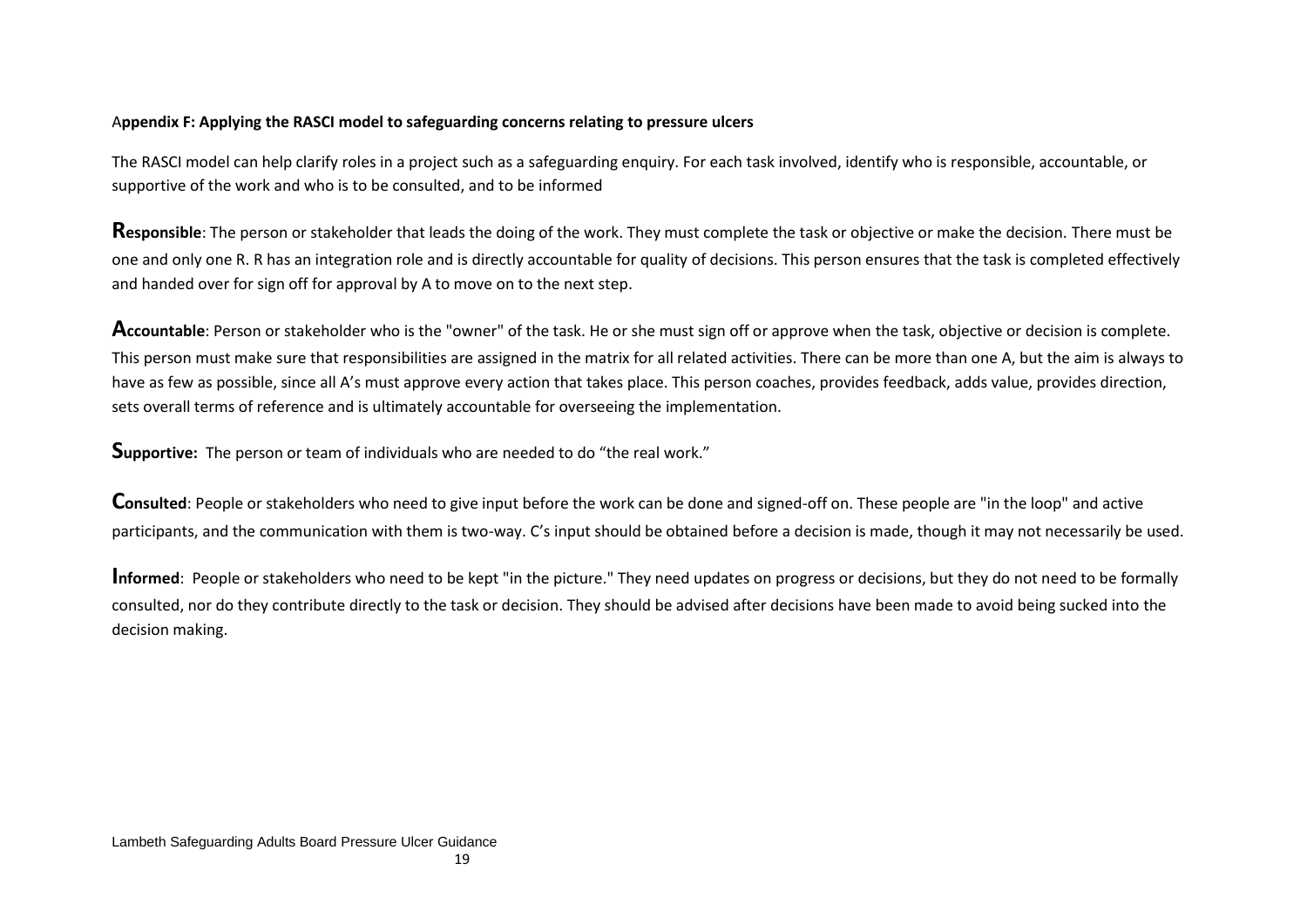#### A**ppendix F: Applying the RASCI model to safeguarding concerns relating to pressure ulcers**

The RASCI model can help clarify roles in a project such as a safeguarding enquiry. For each task involved, identify who is responsible, accountable, or supportive of the work and who is to be consulted, and to be informed

**Responsible**: The person or stakeholder that leads the doing of the work. They must complete the task or objective or make the decision. There must be one and only one R. R has an integration role and is directly accountable for quality of decisions. This person ensures that the task is completed effectively and handed over for sign off for approval by A to move on to the next step.

**Accountable**: Person or stakeholder who is the "owner" of the task. He or she must sign off or approve when the task, objective or decision is complete. This person must make sure that responsibilities are assigned in the matrix for all related activities. There can be more than one A, but the aim is always to have as few as possible, since all A's must approve every action that takes place. This person coaches, provides feedback, adds value, provides direction, sets overall terms of reference and is ultimately accountable for overseeing the implementation.

**Supportive:** The person or team of individuals who are needed to do "the real work."

**Consulted**: People or stakeholders who need to give input before the work can be done and signed-off on. These people are "in the loop" and active participants, and the communication with them is two-way. C's input should be obtained before a decision is made, though it may not necessarily be used.

Informed: People or stakeholders who need to be kept "in the picture." They need updates on progress or decisions, but they do not need to be formally consulted, nor do they contribute directly to the task or decision. They should be advised after decisions have been made to avoid being sucked into the decision making.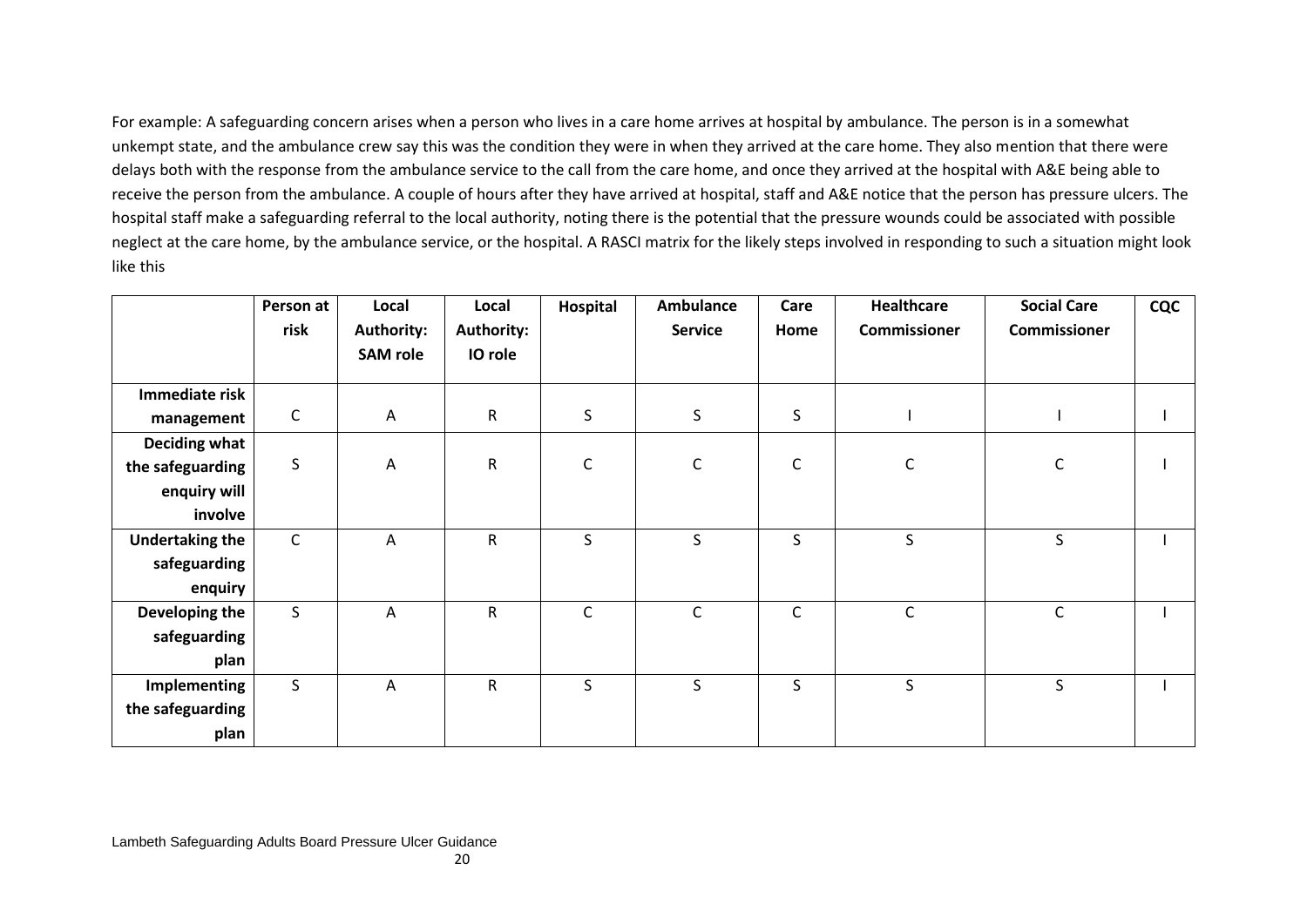For example: A safeguarding concern arises when a person who lives in a care home arrives at hospital by ambulance. The person is in a somewhat unkempt state, and the ambulance crew say this was the condition they were in when they arrived at the care home. They also mention that there were delays both with the response from the ambulance service to the call from the care home, and once they arrived at the hospital with A&E being able to receive the person from the ambulance. A couple of hours after they have arrived at hospital, staff and A&E notice that the person has pressure ulcers. The hospital staff make a safeguarding referral to the local authority, noting there is the potential that the pressure wounds could be associated with possible neglect at the care home, by the ambulance service, or the hospital. A RASCI matrix for the likely steps involved in responding to such a situation might look like this

|                        | Person at<br>risk | Local<br><b>Authority:</b> | Local<br><b>Authority:</b> | Hospital     | Ambulance<br><b>Service</b> | Care<br>Home | <b>Healthcare</b><br><b>Commissioner</b> | <b>Social Care</b><br><b>Commissioner</b> | <b>CQC</b> |
|------------------------|-------------------|----------------------------|----------------------------|--------------|-----------------------------|--------------|------------------------------------------|-------------------------------------------|------------|
|                        |                   | <b>SAM</b> role            | IO role                    |              |                             |              |                                          |                                           |            |
|                        |                   |                            |                            |              |                             |              |                                          |                                           |            |
| Immediate risk         |                   |                            |                            |              |                             |              |                                          |                                           |            |
| management             | $\mathsf{C}$      | $\overline{A}$             | $\mathsf{R}$               | $\sf S$      | $\sf S$                     | S            |                                          |                                           |            |
| <b>Deciding what</b>   |                   |                            |                            |              |                             |              |                                          |                                           |            |
| the safeguarding       | $\sf S$           | $\overline{A}$             | $\mathsf R$                | $\mathsf C$  | $\mathsf C$                 | $\mathsf C$  | C                                        | C                                         |            |
| enquiry will           |                   |                            |                            |              |                             |              |                                          |                                           |            |
| involve                |                   |                            |                            |              |                             |              |                                          |                                           |            |
| <b>Undertaking the</b> | $\mathsf C$       | Α                          | $\mathsf R$                | $\mathsf{S}$ | S                           | S.           | S                                        | S                                         |            |
| safeguarding           |                   |                            |                            |              |                             |              |                                          |                                           |            |
| enquiry                |                   |                            |                            |              |                             |              |                                          |                                           |            |
| Developing the         | $\mathsf S$       | Α                          | $\mathsf R$                | $\mathsf C$  | $\mathsf C$                 | $\mathsf C$  | $\mathsf C$                              | $\mathsf C$                               |            |
| safeguarding           |                   |                            |                            |              |                             |              |                                          |                                           |            |
| plan                   |                   |                            |                            |              |                             |              |                                          |                                           |            |
| Implementing           | $\mathsf{S}$      | A                          | $\mathsf R$                | S            | S                           | S.           | S                                        | S                                         |            |
| the safeguarding       |                   |                            |                            |              |                             |              |                                          |                                           |            |
| plan                   |                   |                            |                            |              |                             |              |                                          |                                           |            |